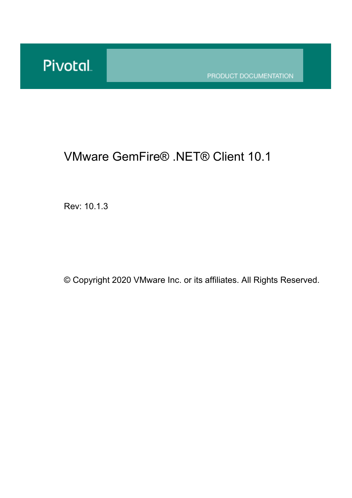PRODUCT DOCUMENTATION

## VMware GemFire® .NET® Client 10.1

Rev: 10.1.3

© Copyright 2020 VMware Inc. or its affiliates. All Rights Reserved.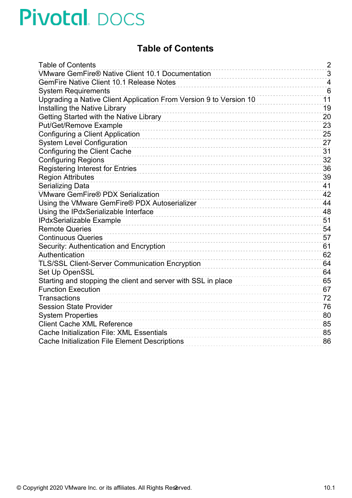#### **Table of Contents**

<span id="page-1-0"></span>

| <b>Table of Contents</b>                                           | $\overline{2}$ |
|--------------------------------------------------------------------|----------------|
| <b>VMware GemFire® Native Client 10.1 Documentation</b>            | 3              |
| <b>GemFire Native Client 10.1 Release Notes</b>                    | $\overline{4}$ |
| <b>System Requirements</b>                                         | 6              |
| Upgrading a Native Client Application From Version 9 to Version 10 | 11             |
| Installing the Native Library                                      | 19             |
| Getting Started with the Native Library                            | 20             |
| <b>Put/Get/Remove Example</b>                                      | 23             |
| Configuring a Client Application                                   | 25             |
| <b>System Level Configuration</b>                                  | 27             |
| Configuring the Client Cache                                       | 31             |
| <b>Configuring Regions</b>                                         | 32             |
| <b>Registering Interest for Entries</b>                            | 36             |
| <b>Region Attributes</b>                                           | 39             |
| <b>Serializing Data</b>                                            | 41             |
| <b>VMware GemFire® PDX Serialization</b>                           | 42             |
| Using the VMware GemFire® PDX Autoserializer                       | 44             |
| Using the IPdxSerializable Interface                               | 48             |
| <b>IPdxSerializable Example</b>                                    | 51             |
| <b>Remote Queries</b>                                              | 54             |
| <b>Continuous Queries</b>                                          | 57             |
| Security: Authentication and Encryption                            | 61             |
| Authentication                                                     | 62             |
| <b>TLS/SSL Client-Server Communication Encryption</b>              | 64             |
| Set Up OpenSSL                                                     | 64             |
| Starting and stopping the client and server with SSL in place      | 65             |
| <b>Function Execution</b>                                          | 67             |
| <b>Transactions</b>                                                | 72             |
| <b>Session State Provider</b>                                      | 76             |
| <b>System Properties</b>                                           | 80             |
| <b>Client Cache XML Reference</b>                                  | 85             |
| Cache Initialization File: XML Essentials                          | 85             |
| <b>Cache Initialization File Element Descriptions</b>              | 86             |
|                                                                    |                |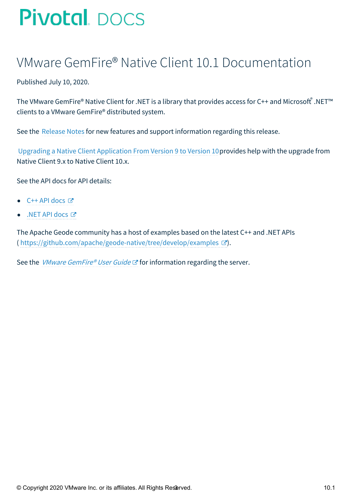## <span id="page-2-0"></span>VMware GemFire® Native Client 10.1 Documentation

Published July 10, 2020.

The VMware GemFire® Native Client for .NET is a library that provides access for C++ and Microsoft ဳ.NET™ clients to a VMware GemFire® distributed system.

See the [Release](#page-3-1) Notes for new features and support information regarding this release.

Upgrading a Native Client [Application](#page-13-0) From Version 9 to Version 10provides help with the upgrade from Native Client 9.x to Native Client 10.x.

See the API docs for API details:

- $\bullet$  C++ API [docs](http://docs-gemfire-native-dotnet-staging.cfapps.io/101/gemfire-native-client-dotnet/cppdocs)  $\circledcirc$
- .NET API [docs](http://docs-gemfire-native-dotnet-staging.cfapps.io/101/gemfire-native-client-dotnet/dotnetdocs) **♂**

The Apache Geode community has a host of examples based on the latest C++ and .NET APIs ( <https://github.com/apache/geode-native/tree/develop/examples>  $\mathbb{Z}$ ).

See the *VMware [GemFire®](http://docs-gemfire-native-dotnet-staging.cfapps.io/101/gemfire-native-client-dotnet/gemfireman/about_gemfire.html) User Guide*  $C^*$  for information regarding the server.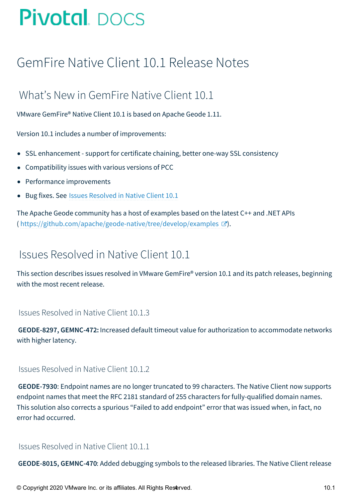## <span id="page-3-1"></span><span id="page-3-0"></span>GemFire Native Client 10.1 Release Notes

### What's New in GemFire Native Client 10.1

VMware GemFire® Native Client 10.1 is based on Apache Geode 1.11.

Version 10.1 includes a number of improvements:

- SSL enhancement support for certificate chaining, better one-way SSL consistency
- Compatibility issues with various versions of PCC
- Performance improvements
- Bug fixes. See Issues [Resolved](#page-3-2) in Native Client 10.1

The Apache Geode community has a host of examples based on the latest C++ and .NET APIs ( <https://github.com/apache/geode-native/tree/develop/examples>  $\mathbb{Z}$ ).

### <span id="page-3-2"></span>Issues Resolved in Native Client 10.1

This section describes issues resolved in VMware GemFire® version 10.1 and its patch releases, beginning with the most recent release.

#### Issues Resolved in Native Client 10.1.3

**GEODE-8297, GEMNC-472:** Increased default timeout value for authorization to accommodate networks with higher latency.

#### Issues Resolved in Native Client 10.1.2

**GEODE-7930**: Endpoint names are no longer truncated to 99 characters. The Native Client now supports endpoint names that meet the RFC 2181 standard of 255 characters for fully-qualified domain names. This solution also corrects a spurious "Failed to add endpoint" error that was issued when, in fact, no error had occurred.

#### Issues Resolved in Native Client 10.1.1

**GEODE-8015, GEMNC-470**: Added debugging symbols to the released libraries. The Native Client release

© Copyright 2020 VMware Inc. or its affiliates. All Rights Reserved. 10.1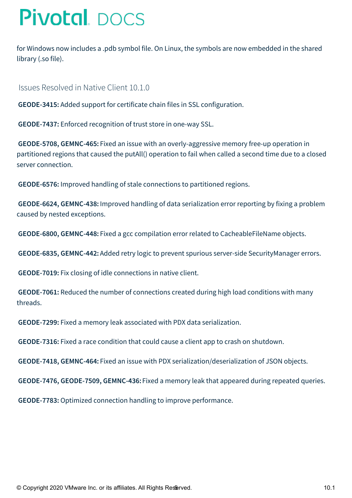for Windows now includes a .pdb symbol file. On Linux, the symbols are now embedded in the shared library (.so file).

Issues Resolved in Native Client 10.1.0

**GEODE-3415:** Added support for certificate chain files in SSL configuration.

**GEODE-7437:** Enforced recognition of trust store in one-way SSL.

**GEODE-5708, GEMNC-465:** Fixed an issue with an overly-aggressive memory free-up operation in partitioned regions that caused the putAll() operation to fail when called a second time due to a closed server connection.

**GEODE-6576:** Improved handling of stale connections to partitioned regions.

**GEODE-6624, GEMNC-438:** Improved handling of data serialization error reporting by fixing a problem caused by nested exceptions.

**GEODE-6800, GEMNC-448:** Fixed a gcc compilation error related to CacheableFileName objects.

**GEODE-6835, GEMNC-442:** Added retry logic to prevent spurious server-side SecurityManager errors.

**GEODE-7019:** Fix closing of idle connections in native client.

**GEODE-7061:** Reduced the number of connections created during high load conditions with many threads.

**GEODE-7299:** Fixed a memory leak associated with PDX data serialization.

**GEODE-7316:** Fixed a race condition that could cause a client app to crash on shutdown.

**GEODE-7418, GEMNC-464:** Fixed an issue with PDX serialization/deserialization of JSON objects.

**GEODE-7476, GEODE-7509, GEMNC-436:**Fixed a memory leak that appeared during repeated queries.

**GEODE-7783:** Optimized connection handling to improve performance.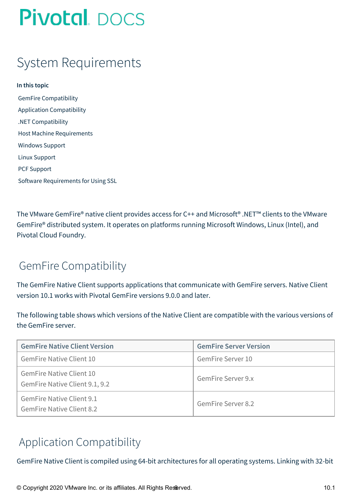## <span id="page-5-0"></span>System Requirements

**In this topic** GemFire [Compatibility](#page-5-1) Application [Compatibility](#page-5-2) .NET [Compatibility](#page-6-0) Host Machine [Requirements](#page-6-1) [Windows](#page-7-0) Support Linux [Support](#page-7-1) PCF [Support](#page-8-0) Software [Requirements](#page-9-0) for Using SSL

The VMware GemFire® native client provides access for C++ and Microsoft® .NET™ clients to the VMware GemFire® distributed system. It operates on platforms running Microsoft Windows, Linux (Intel), and Pivotal Cloud Foundry.

### <span id="page-5-1"></span>GemFire Compatibility

The GemFire Native Client supports applications that communicate with GemFire servers. Native Client version 10.1 works with Pivotal GemFire versions 9.0.0 and later.

The following table shows which versions of the Native Client are compatible with the various versions of the GemFire server.

| <b>GemFire Native Client Version</b>                                 | <b>GemFire Server Version</b> |
|----------------------------------------------------------------------|-------------------------------|
| <b>GemFire Native Client 10</b>                                      | GemFire Server 10             |
| <b>GemFire Native Client 10</b><br>GemFire Native Client 9.1, 9.2    | <b>GemFire Server 9.x</b>     |
| <b>GemFire Native Client 9.1</b><br><b>GemFire Native Client 8.2</b> | <b>GemFire Server 8.2</b>     |

### <span id="page-5-2"></span>Application Compatibility

GemFire Native Client is compiled using 64-bit architectures for all operating systems. Linking with 32-bit

© Copyright 2020 VMware Inc. or its affiliates. All Rights Reserved. 10.1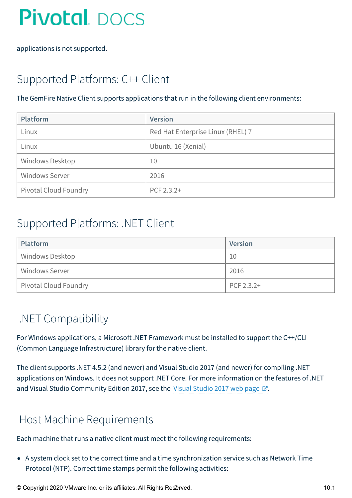applications is not supported.

## Supported Platforms: C++ Client

#### The GemFire Native Client supports applications that run in the following client environments:

| Platform                     | <b>Version</b>                    |
|------------------------------|-----------------------------------|
| Linux                        | Red Hat Enterprise Linux (RHEL) 7 |
| Linux                        | Ubuntu 16 (Xenial)                |
| Windows Desktop              | 10                                |
| <b>Windows Server</b>        | 2016                              |
| <b>Pivotal Cloud Foundry</b> | PCF 2.3.2+                        |

#### Supported Platforms: .NET Client

| <b>Platform</b>              | <b>Version</b> |
|------------------------------|----------------|
| <b>Windows Desktop</b>       | 10             |
| <b>Windows Server</b>        | 2016           |
| <b>Pivotal Cloud Foundry</b> | PCF 2.3.2+     |

### <span id="page-6-0"></span>.NET Compatibility

For Windows applications, a Microsoft .NET Framework must be installed to support the C++/CLI (Common Language Infrastructure) library for the native client.

The client supports .NET 4.5.2 (and newer) and Visual Studio 2017 (and newer) for compiling .NET applications on Windows. It does not support .NET Core. For more information on the features of .NET and Visual [Studio](https://visualstudio.microsoft.com/vs/older-downloads/#visual-studio-2017-family) Community Edition 2017, see the Visual Studio 2017 web page  $\mathbb{Z}$ .

### <span id="page-6-1"></span>Host Machine Requirements

Each machine that runs a native client must meet the following requirements:

A system clock set to the correct time and a time synchronization service such as Network Time Protocol (NTP). Correct time stamps permit the following activities:

© Copyright 2020 VMware Inc. or its affiliates. All Rights Reserved. 10.1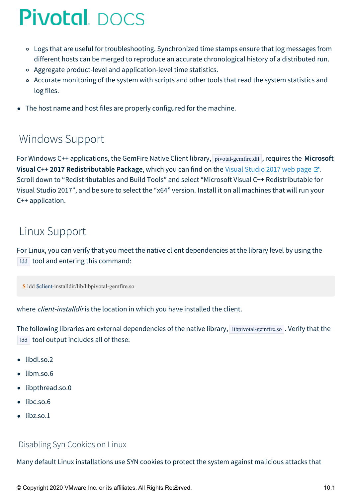- <span id="page-7-2"></span>Logs that are useful for troubleshooting. Synchronized time stamps ensure that log messages from different hosts can be merged to reproduce an accurate chronological history of a distributed run.
- Aggregate product-level and application-level time statistics.
- o Accurate monitoring of the system with scripts and other tools that read the system statistics and log files.
- The host name and host files are properly configured for the machine.  $\bullet$

### <span id="page-7-0"></span>Windows Support

For Windows C++ applications, the GemFire Native Client library, pivotal-gemfire.dll , requires the **Microsoft Visual C++ 2017 Redistributable Package**, which you can find on the Visual [Studio](https://visualstudio.microsoft.com/vs/older-downloads/#visual-studio-2017-family) 2017 web page . Scroll down to "Redistributables and Build Tools" and select "Microsoft Visual C++ Redistributable for Visual Studio 2017", and be sure to select the "x64" version. Install it on all machines that will run your C++ application.

### <span id="page-7-1"></span>Linux Support

For Linux, you can verify that you meet the native client dependencies at the library level by using the ldd tool and entering this command:

**\$** ldd \$client-installdir/lib/libpivotal-gemfire.so

where *client-installdir* is the location in which you have installed the client.

The following libraries are external dependencies of the native library, libpivotal-gemfire.so. Verify that the Idd tool output includes all of these:

- $\bullet$  libdl.so.2
- libm.so.6
- libpthread.so.0
- libc.so.6
- $\bullet$  libz.so.1

#### Disabling Syn Cookies on Linux

Many default Linux installations use SYN cookies to protect the system against malicious attacks that

© Copyright 2020 VMware Inc. or its affiliates. All Rights Res&rved. 10.1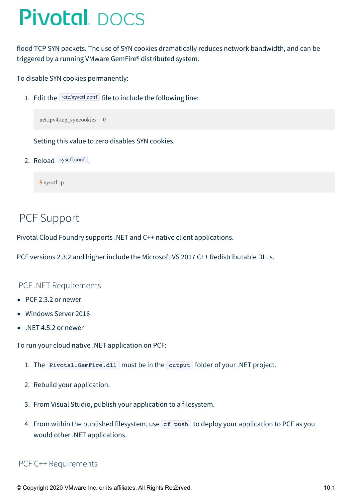flood TCP SYN packets. The use of SYN cookies dramatically reduces network bandwidth, and can be triggered by a running VMware GemFire® distributed system.

To disable SYN cookies permanently:

1. Edit the  $|let\text{c}$  /etc/sysctl.conf file to include the following line:

net.ipv4.tcp\_syncookies =  $0$ 

Setting this value to zero disables SYN cookies.

2. Reload sysctl.conf :

**\$** sysctl -p

#### <span id="page-8-0"></span>PCF Support

Pivotal Cloud Foundry supports .NET and C++ native client applications.

PCF versions 2.3.2 and higher include the Microsoft VS 2017 C++ Redistributable DLLs.

#### PCF .NET Requirements

- PCF 2.3.2 or newer
- Windows Server 2016
- .NET 4.5.2 or newer

To run your cloud native .NET application on PCF:

- 1. The Pivotal.GemFire.dll must be in the output folder of your .NET project.
- 2. Rebuild your application.
- 3. From Visual Studio, publish your application to a filesystem.
- 4. From within the published filesystem, use  $\sigma$  ref push to deploy your application to PCF as you would other .NET applications.

#### PCF C++ Requirements

© Copyright 2020 VMware Inc. or its affiliates. All Rights Resterved. 10.1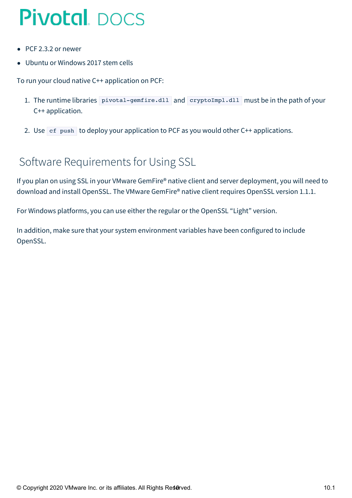- PCF 2.3.2 or newer
- Ubuntu or Windows 2017 stem cells

To run your cloud native C++ application on PCF:

- 1. The runtime libraries pivotal-gemfire.dll and cryptoImpl.dll must be in the path of your C++ application.
- 2. Use  $\sigma$  ef push to deploy your application to PCF as you would other C++ applications.

### <span id="page-9-0"></span>Software Requirements for Using SSL

If you plan on using SSL in your VMware GemFire® native client and server deployment, you will need to download and install OpenSSL. The VMware GemFire® native client requires OpenSSL version 1.1.1.

For Windows platforms, you can use either the regular or the OpenSSL "Light" version.

In addition, make sure that your system environment variables have been configured to include OpenSSL.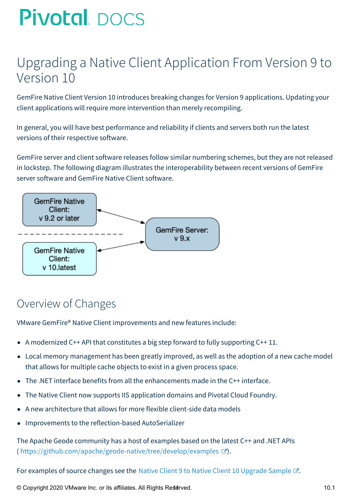## <span id="page-10-0"></span>Upgrading a Native Client Application From Version 9 to Version 10

GemFire Native Client Version 10 introduces breaking changes for Version 9 applications. Updating your client applications will require more intervention than merely recompiling.

In general, you will have best performance and reliability if clients and servers both run the latest versions of their respective software.

GemFire server and client software releases follow similar numbering schemes, but they are not released in lockstep. The following diagram illustrates the interoperability between recent versions of GemFire server software and GemFire Native Client software.



### Overview of Changes

VMware GemFire® Native Client improvements and new features include:

- A modernized C++ API that constitutes a big step forward to fully supporting  $C_{++}$  11.
- Local memory management has been greatly improved, as well as the adoption of a new cache model that allows for multiple cache objects to exist in a given process space.
- The .NET interface benefits from all the enhancements made in the C++ interface.
- The Native Client now supports IIS application domains and Pivotal Cloud Foundry.  $\bullet$
- A new architecture that allows for more flexible client-side data models
- Improvements to the reflection-based AutoSerializer  $\bullet$

The Apache Geode community has a host of examples based on the latest C++ and .NET APIs ( <https://github.com/apache/geode-native/tree/develop/examples>  $\mathbb{C}$ ).

For examples of source changes see the Native Client 9 to Native Client 10 [Upgrade](http://docs-gemfire-native-dotnet-staging.cfapps.io/101/gemfire-native-client-dotnet/upgrade-example-dotnet.html) Sample  $\mathbb{Z}$ .

© Copyright 2020 VMware Inc. or its affiliates. All Rights Reserved. 10.1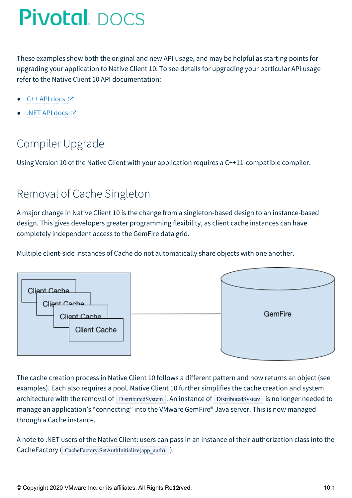These examples show both the original and new API usage, and may be helpful as starting points for upgrading your application to Native Client 10. To see details for upgrading your particular API usage refer to the Native Client 10 API documentation:

- C++ API [docs](http://docs-gemfire-native-dotnet-staging.cfapps.io/101/gemfire-native-client-dotnet/cppdocs)
- .NET API [docs](http://docs-gemfire-native-dotnet-staging.cfapps.io/101/gemfire-native-client-dotnet/dotnetdocs) Ø

## Compiler Upgrade

Using Version 10 of the Native Client with your application requires a C++11-compatible compiler.

### Removal of Cache Singleton

A major change in Native Client 10 is the change from a singleton-based design to an instance-based design. This gives developers greater programming flexibility, as client cache instances can have completely independent access to the GemFire data grid.

Multiple client-side instances of Cache do not automatically share objects with one another.



The cache creation process in Native Client 10 follows a different pattern and now returns an object (see examples). Each also requires a pool. Native Client 10 further simplifies the cache creation and system architecture with the removal of DistributedSystem . An instance of DistributedSystem is no longer needed to manage an application's "connecting" into the VMware GemFire® Java server. This is now managed through a Cache instance.

A note to .NET users of the Native Client: users can pass in an instance of their authorization class into the CacheFactory ( CacheFactory.SetAuthInitialize(app\_auth); ).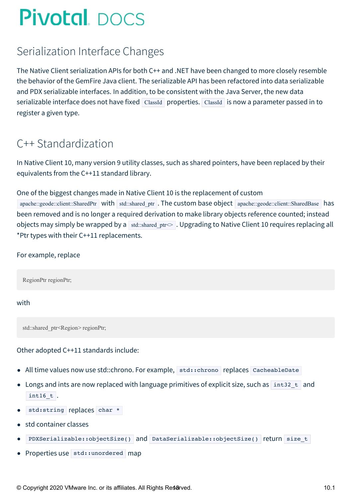### Serialization Interface Changes

The Native Client serialization APIs for both C++ and .NET have been changed to more closely resemble the behavior of the GemFire Java client. The serializable API has been refactored into data serializable and PDX serializable interfaces. In addition, to be consistent with the Java Server, the new data serializable interface does not have fixed ClassId properties. ClassId is now a parameter passed in to register a given type.

### C++ Standardization

In Native Client 10, many version 9 utility classes, such as shared pointers, have been replaced by their equivalents from the C++11 standard library.

#### One of the biggest changes made in Native Client 10 is the replacement of custom

apache::geode::client::SharedPtr with std::shared ptr . The custom base object apache::geode::client::SharedBase has been removed and is no longer a required derivation to make library objects reference counted; instead objects may simply be wrapped by a std::shared\_ptr $\leq$ . Upgrading to Native Client 10 requires replacing all \*Ptr types with their C++11 replacements.

#### For example, replace

RegionPtr regionPtr;

with

std::shared\_ptr<Region> regionPtr;

#### Other adopted C++11 standards include:

- All time values now use std::chrono. For example, std::chrono replaces CacheableDate
- Longs and ints are now replaced with language primitives of explicit size, such as  $\frac{1}{1}$  int32<sub>\_t</sub> and  $int16_t$  t.
- std:string replaces char \*
- std container classes
- PDXSerializable::objectSize() and DataSerializable::objectSize() return size t
- Properties use std::unordered map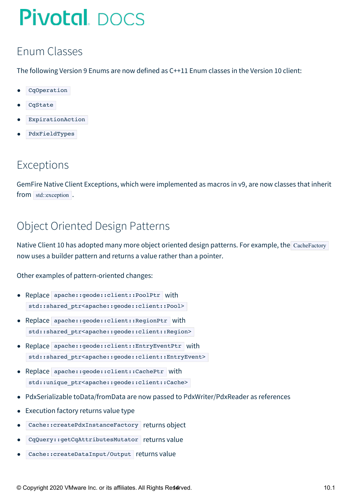## <span id="page-13-0"></span>Enum Classes

The following Version 9 Enums are now defined as C++11 Enum classes in the Version 10 client:

- CqOperation
- CqState
- ExpirationAction
- PdxFieldTypes

### Exceptions

GemFire Native Client Exceptions, which were implemented as macros in v9, are now classes that inherit from std::exception.

## Object Oriented Design Patterns

Native Client 10 has adopted many more object oriented design patterns. For example, the CacheFactory now uses a builder pattern and returns a value rather than a pointer.

Other examples of pattern-oriented changes:

- Replace apache::geode::client::PoolPtr with std::shared\_ptr<apache::geode::client::Pool>
- Replace apache::geode::client::RegionPtr with std::shared ptr<apache::geode::client::Region>
- Replace apache::geode::client::EntryEventPtr with std::shared ptr<apache::geode::client::EntryEvent>
- Replace apache::geode::client::CachePtr with std::unique ptr<apache::geode::client::Cache>
- PdxSerializable toData/fromData are now passed to PdxWriter/PdxReader as references
- Execution factory returns value type  $\bullet$
- Cache::createPdxInstanceFactory returns object
- CqQuery::getCqAttributesMutator returns value
- Cache:: createDataInput/Output returns value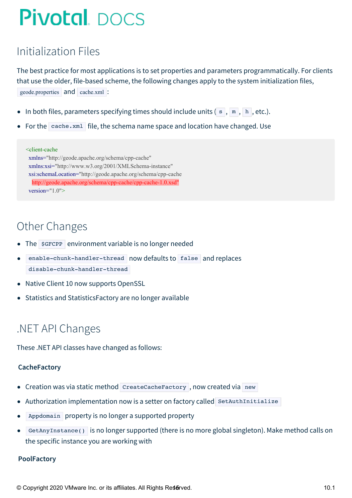## Initialization Files

The best practice for most applications is to set properties and parameters programmatically. For clients that use the older, file-based scheme, the following changes apply to the system initialization files, geode.properties and cache.xml :

- In both files, parameters specifying times should include units  $(s, m, h, etc.).$
- For the  $\sqrt{c_{\text{cache}}\cdot x}$  cache.  $x$  file, the schema name space and location have changed. Use

#### <client-cache xmlns="http://geode.apache.org/schema/cpp-cache" xmlns:xsi="http://www.w3.org/2001/XMLSchema-instance" xsi:schemaLocation="http://geode.apache.org/schema/cpp-cache http://geode.apache.org/schema/cpp-cache/cpp-cache-1.0.xsd" version="1.0">

### Other Changes

- The sgFCPP environment variable is no longer needed
- enable-chunk-handler-thread now defaults to false and replaces disable-chunk-handler-thread
- Native Client 10 now supports OpenSSL
- Statistics and StatisticsFactory are no longer available

### .NET API Changes

These .NET API classes have changed as follows:

#### **CacheFactory**

- Creation was via static method CreateCacheFactory , now created via new
- Authorization implementation now is a setter on factory called SetAuthInitialize
- Appdomain property is no longer a supported property
- GetAnyInstance() is no longer supported (there is no more global singleton). Make method calls on the specific instance you are working with

#### **PoolFactory**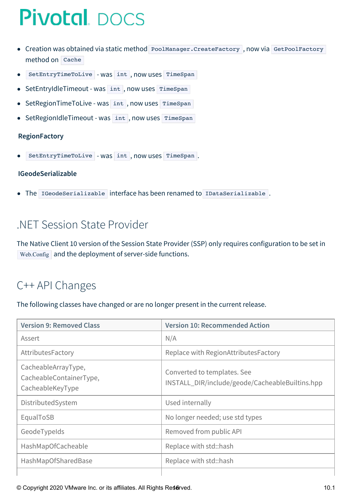- Creation was obtained via static method PoolManager.CreateFactory, now via GetPoolFactory method on Cache
- SetEntryTimeToLive Was int, now uses TimeSpan
- SetEntryIdleTimeout was int, now uses TimeSpan  $\bullet$
- SetRegionTimeToLive was int, now uses TimeSpan  $\bullet$
- SetRegionIdleTimeout was int, now uses TimeSpan  $\bullet$

#### **RegionFactory**

SetEntryTimeToLive - was int, now uses TimeSpan.

#### **IGeodeSerializable**

The IGeodeSerializable interface has been renamed to IDataSerializable .

#### .NET Session State Provider

The Native Client 10 version of the Session State Provider (SSP) only requires configuration to be set in Web.Config and the deployment of server-side functions.

### C++ API Changes

The following classes have changed or are no longer present in the current release.

| <b>Version 9: Removed Class</b>                                    | <b>Version 10: Recommended Action</b>                                          |
|--------------------------------------------------------------------|--------------------------------------------------------------------------------|
| Assert                                                             | N/A                                                                            |
| AttributesFactory                                                  | Replace with RegionAttributesFactory                                           |
| CacheableArrayType,<br>CacheableContainerType,<br>CacheableKeyType | Converted to templates. See<br>INSTALL_DIR/include/geode/CacheableBuiltins.hpp |
| DistributedSystem                                                  | Used internally                                                                |
| EqualToSB                                                          | No longer needed; use std types                                                |
| GeodeTypeIds                                                       | Removed from public API                                                        |
| HashMapOfCacheable                                                 | Replace with std::hash                                                         |
| HashMapOfSharedBase                                                | Replace with std::hash                                                         |
|                                                                    |                                                                                |

© Copyright 2020 VMware Inc. or its affiliates. All Rights Reserved. 10.1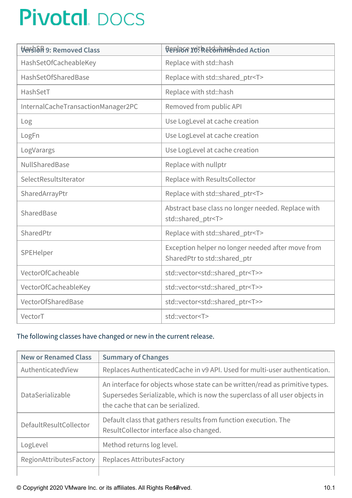| Versida 9: Removed Class           | <b>DEPSIBLE YO! REEGHTIFFENded Action</b>                                         |
|------------------------------------|-----------------------------------------------------------------------------------|
| HashSetOfCacheableKey              | Replace with std::hash                                                            |
| HashSetOfSharedBase                | Replace with std::shared_ptr <t></t>                                              |
| HashSetT                           | Replace with std::hash                                                            |
| InternalCacheTransactionManager2PC | Removed from public API                                                           |
| Log                                | Use LogLevel at cache creation                                                    |
| LogFn                              | Use LogLevel at cache creation                                                    |
| LogVarargs                         | Use LogLevel at cache creation                                                    |
| NullSharedBase                     | Replace with nullptr                                                              |
| SelectResultsIterator              | Replace with ResultsCollector                                                     |
| SharedArrayPtr                     | Replace with std::shared_ptr <t></t>                                              |
| SharedBase                         | Abstract base class no longer needed. Replace with<br>std::shared_ptr <t></t>     |
| SharedPtr                          | Replace with std::shared_ptr <t></t>                                              |
| SPEHelper                          | Exception helper no longer needed after move from<br>SharedPtr to std::shared_ptr |
| VectorOfCacheable                  | std::vector <std::shared_ptr<t>&gt;</std::shared_ptr<t>                           |
| VectorOfCacheableKey               | std::vector <std::shared_ptr<t>&gt;</std::shared_ptr<t>                           |
| VectorOfSharedBase                 | std::vector <std::shared_ptr<t>&gt;</std::shared_ptr<t>                           |
| VectorT                            | std::vector <t></t>                                                               |

#### The following classes have changed or new in the current release.

| <b>New or Renamed Class</b> | <b>Summary of Changes</b>                                                                                                                                                                        |
|-----------------------------|--------------------------------------------------------------------------------------------------------------------------------------------------------------------------------------------------|
| AuthenticatedView           | Replaces Authenticated Cache in v9 API. Used for multi-user authentication.                                                                                                                      |
| DataSerializable            | An interface for objects whose state can be written/read as primitive types.<br>Supersedes Serializable, which is now the superclass of all user objects in<br>the cache that can be serialized. |
| DefaultResultCollector      | Default class that gathers results from function execution. The<br>ResultCollector interface also changed.                                                                                       |
| LogLevel                    | Method returns log level.                                                                                                                                                                        |
| RegionAttributesFactory     | Replaces Attributes Factory                                                                                                                                                                      |
|                             |                                                                                                                                                                                                  |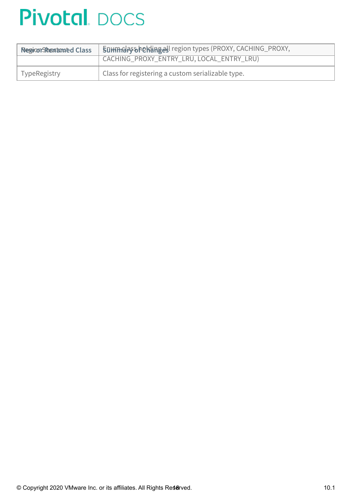| <b>Region-Shemanned Class</b> | Summary Shehanges! region types (PROXY, CACHING_PROXY, |
|-------------------------------|--------------------------------------------------------|
|                               |                                                        |
| <b>TypeRegistry</b>           | Class for registering a custom serializable type.      |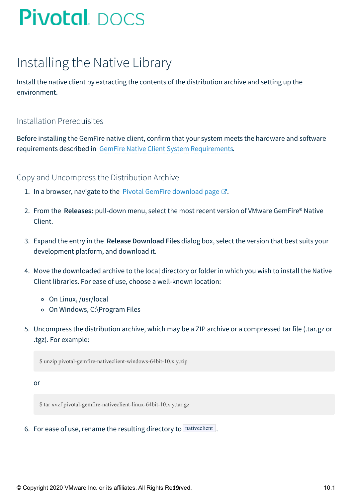## <span id="page-18-0"></span>Installing the Native Library

Install the native client by extracting the contents of the distribution archive and setting up the environment.

#### Installation Prerequisites

Before installing the GemFire native client, confirm that your system meets the hardware and software requirements described in GemFire Native Client System [Requirements](#page-7-2).

#### Copy and Uncompress the Distribution Archive

- 1. In a browser, navigate to the Pivotal GemFire [download](https://network.pivotal.io/products/pivotal-gemfire) page  $\mathbb{Z}$ .
- 2. From the **Releases:** pull-down menu, select the most recent version of VMware GemFire® Native Client.
- 3. Expand the entry in the **Release Download Files** dialog box, select the version that best suits your development platform, and download it.
- 4. Move the downloaded archive to the local directory or folder in which you wish to install the Native Client libraries. For ease of use, choose a well-known location:
	- On Linux, /usr/local
	- o On Windows, C:\Program Files
- 5. Uncompress the distribution archive, which may be a ZIP archive or a compressed tar file (.tar.gz or .tgz). For example:

\$ unzip pivotal-gemfire-nativeclient-windows-64bit-10.x.y.zip

or

\$ tar xvzf pivotal-gemfire-nativeclient-linux-64bit-10.x.y.tar.gz

6. For ease of use, rename the resulting directory to nativeclient.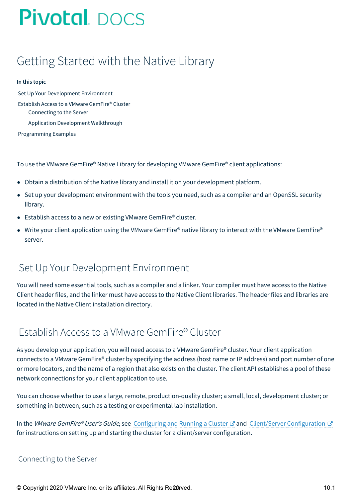## <span id="page-19-0"></span>Getting Started with the Native Library

#### **In this topic**

Set Up Your [Development](#page-19-1) Environment Establish Access to a VMware [GemFire®](#page-19-2) Cluster [Connecting](#page-19-3) to the Server Application [Development](#page-20-0) Walkthrough

[Programming](#page-21-0) Examples

To use the VMware GemFire® Native Library for developing VMware GemFire® client applications:

- Obtain a distribution of the Native library and install it on your development platform.
- Set up your development environment with the tools you need, such as a compiler and an OpenSSL security library.
- Establish access to a new or existing VMware GemFire® cluster.
- Write your client application using the VMware GemFire® native library to interact with the VMware GemFire® server.

#### <span id="page-19-1"></span>Set Up Your Development Environment

You will need some essential tools, such as a compiler and a linker. Your compiler must have access to the Native Client header files, and the linker must have access to the Native Client libraries. The header files and libraries are located in the Native Client installation directory.

#### <span id="page-19-2"></span>Establish Access to a VMware GemFire® Cluster

As you develop your application, you will need access to a VMware GemFire® cluster. Your client application connects to a VMware GemFire® cluster by specifying the address (host name or IP address) and port number of one or more locators, and the name of a region that also exists on the cluster. The client API establishes a pool of these network connections for your client application to use.

You can choose whether to use a large, remote, production-quality cluster; a small, local, development cluster; or something in-between, such as a testing or experimental lab installation.

In the VMware GemFire® User's Guide, see [Configuring](http://docs-gemfire-native-dotnet-staging.cfapps.io/101/geode-native-client-dotnet/getting-started/serverman/configuring/chapter_overview.html) and Running a Cluster & and Client/Server [Configuration](http://docs-gemfire-native-dotnet-staging.cfapps.io/101/geode-native-client-dotnet/getting-started/serverman/topologies_and_comm/cs_configuration/chapter_overview.html) & for instructions on setting up and starting the cluster for a client/server configuration.

#### <span id="page-19-3"></span>Connecting to the Server

© Copyright 2020 VMware Inc. or its affiliates. All Rights Re&Orved.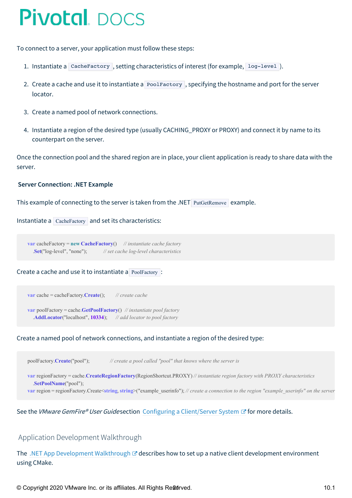To connect to a server, your application must follow these steps:

- 1. Instantiate a CacheFactory, setting characteristics of interest (for example, log-level).
- 2. Create a cache and use it to instantiate a PoolFactory, specifying the hostname and port for the server locator.
- 3. Create a named pool of network connections.
- 4. Instantiate a region of the desired type (usually CACHING\_PROXY or PROXY) and connect it by name to its counterpart on the server.

Once the connection pool and the shared region are in place, your client application is ready to share data with the server.

#### **Server Connection: .NET Example**

This example of connecting to the server is taken from the .NET PutGetRemove example.

```
Instantiate a CacheFactory and set its characteristics:
```
**var** cacheFactory = **new CacheFactory**() *// instantiate cache factory* .**Set**("log-level", "none"); *// set cache log-level characteristics*

#### Create a cache and use it to instantiate a PoolFactory :

**var** cache = cacheFactory.**Create**(); *// create cache*

**var** poolFactory = cache.**GetPoolFactory**() *// instantiate pool factory* .**AddLocator**("localhost", **10334**); *// add locator to pool factory*

#### Create a named pool of network connections, and instantiate a region of the desired type:

poolFactory.**Create**("pool"); *// create a pool called "pool" that knows where the server is*

**var** regionFactory = cache.**CreateRegionFactory**(RegionShortcut.PROXY) *// instantiate region factory with PROXY characteristics* .**SetPoolName**("pool"); var region = regionFactory.Create<string, string>("example userinfo"); // create a connection to the region "example userinfo" on the server

See the VMware GemFire® User Guidesection Configuring a [Client/Server](http://docs-gemfire-native-dotnet-staging.cfapps.io/101/geode-native-client-dotnet/getting-started/serverman/topologies_and_comm/cs_configuration/setting_up_a_client_server_system.html) System **I** for more details.

#### <span id="page-20-0"></span>Application Development Walkthrough

The .NET App [Development](http://docs-gemfire-native-dotnet-staging.cfapps.io/101/geode-native-client-dotnet/getting-started/app-dev-walkthrough-dotnet.html) Walkthrough  $\mathbb{Z}$  describes how to set up a native client development environment using CMake.

© Copyright 2020 VMware Inc. or its affiliates. All Rights Re**2d**rved. 10.1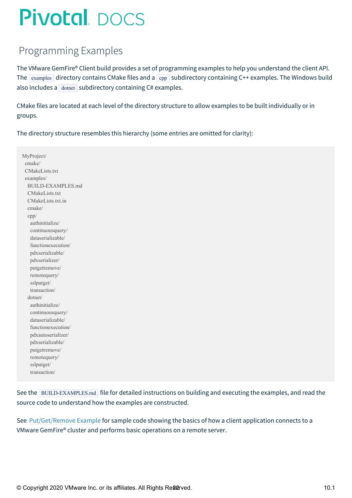### <span id="page-21-0"></span>Programming Examples

The VMware GemFire® Client build provides a set of programming examples to help you understand the client API. The examples directory contains CMake files and a cpp subdirectory containing C++ examples. The Windows build also includes a  $\overline{\left( \text{domet} \right)}$  subdirectory containing C# examples.

CMake files are located at each level of the directory structure to allow examples to be built individually or in groups.

The directory structure resembles this hierarchy (some entries are omitted for clarity):

MyProject/ cmake/ CMakeLists.txt examples/ BUILD-EXAMPLES.md CMakeLists.txt CMakeLists.txt.in cmake/ cpp/ authinitialize/ continuousquery/ dataserializable/ functionexecution/ pdxserializable/ pdxserializer/ putgetremove/ remotequery/ sslputget/ transaction/ dotnet/ authinitialize/ continuousquery/ dataserializable/ functionexecution/ pdxautoserializer/ pdxserializable/ putgetremove/ remotequery/ sslputget/ transaction/

See the BUILD-EXAMPLES.md file for detailed instructions on building and executing the examples, and read the source code to understand how the examples are constructed.

See [Put/Get/Remove](#page-22-1) Example for sample code showing the basics of how a client application connects to a VMware GemFire® cluster and performs basic operations on a remote server.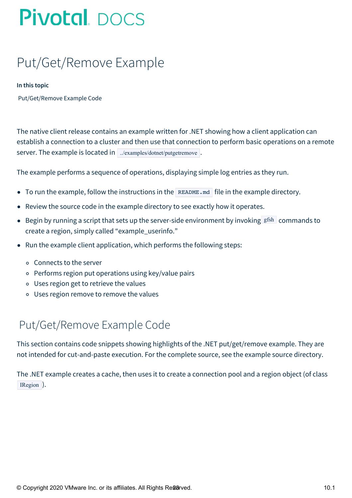## <span id="page-22-1"></span><span id="page-22-0"></span>Put/Get/Remove Example

#### **In this topic**

[Put/Get/Remove](#page-22-2) Example Code

The native client release contains an example written for .NET showing how a client application can establish a connection to a cluster and then use that connection to perform basic operations on a remote server. The example is located in .../examples/dotnet/putgetremove.

The example performs a sequence of operations, displaying simple log entries as they run.

- To run the example, follow the instructions in the README. md file in the example directory.
- Review the source code in the example directory to see exactly how it operates.
- $\bullet$  Begin by running a script that sets up the server-side environment by invoking gfsh commands to create a region, simply called "example\_userinfo."
- Run the example client application, which performs the following steps:
	- Connects to the server
	- Performs region put operations using key/value pairs
	- Uses region get to retrieve the values
	- Uses region remove to remove the values

### <span id="page-22-2"></span>Put/Get/Remove Example Code

This section contains code snippets showing highlights of the .NET put/get/remove example. They are not intended for cut-and-paste execution. For the complete source, see the example source directory.

The .NET example creates a cache, then uses it to create a connection pool and a region object (of class IRegion ).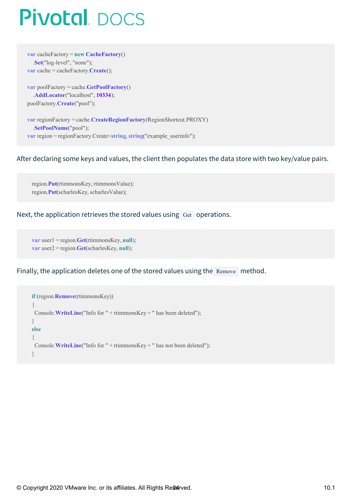**var** cacheFactory = **new CacheFactory**() .**Set**("log-level", "none"); **var** cache = cacheFactory.**Create**();

**var** poolFactory = cache.**GetPoolFactory**() .**AddLocator**("localhost", **10334**); poolFactory.**Create**("pool");

**var** regionFactory = cache.**CreateRegionFactory**(RegionShortcut.PROXY) .**SetPoolName**("pool"); **var** region = regionFactory.Create < **string**, **string**("example\_userinfo");

#### After declaring some keys and values, the client then populates the data store with two key/value pairs.

region.**Put**(rtimmonsKey, rtimmonsValue); region.**Put**(scharlesKey, scharlesValue);

#### Next, the application retrieves the stored values using  $G_{et}$  operations.

**var** user1 = region.**Get**(rtimmonsKey, **null**); **var** user2 = region.**Get**(scharlesKey, **null**);

Finally, the application deletes one of the stored values using the Remove method.

```
if (region.Remove(rtimmonsKey))
{
Console.WriteLine("Info for " + rtimmonsKey + " has been deleted");
}
else
{
Console.WriteLine("Info for " + rtimmonsKey + " has not been deleted");
}
```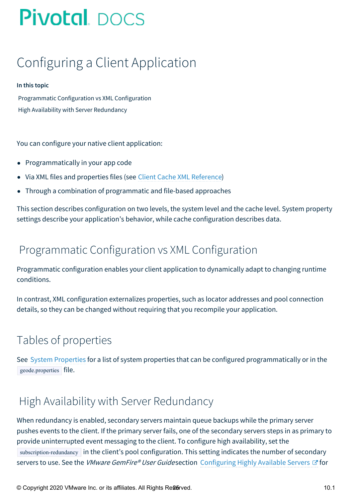## <span id="page-24-0"></span>Configuring a Client Application

#### **In this topic**

[Programmatic](#page-24-1) Configuration vs XML Configuration High Availability with Server [Redundancy](#page-24-2)

You can configure your native client application:

- Programmatically in your app code
- Via XML files and properties files (see Client Cache XML [Reference](#page-90-0))
- Through a combination of programmatic and file-based approaches  $\bullet$

This section describes configuration on two levels, the system level and the cache level. System property settings describe your application's behavior, while cache configuration describes data.

### <span id="page-24-1"></span>Programmatic Configuration vs XML Configuration

Programmatic configuration enables your client application to dynamically adapt to changing runtime conditions.

In contrast, XML configuration externalizes properties, such as locator addresses and pool connection details, so they can be changed without requiring that you recompile your application.

### Tables of properties

See System [Properties](#page-81-0) for a list of system properties that can be configured programmatically or in the geode.properties file.

### <span id="page-24-2"></span>High Availability with Server Redundancy

When redundancy is enabled, secondary servers maintain queue backups while the primary server pushes events to the client. If the primary server fails, one of the secondary servers steps in as primary to provide uninterrupted event messaging to the client. To configure high availability, set the subscription-redundancy in the client's pool configuration. This setting indicates the number of secondary servers to use. See the *VMware GemFire® User Guide* section [Configuring](http://docs-gemfire-native-dotnet-staging.cfapps.io/101/geode-native-client-dotnet/configuring/serverman/developing/events/configuring_highly_available_servers.html) Highly Available Servers & for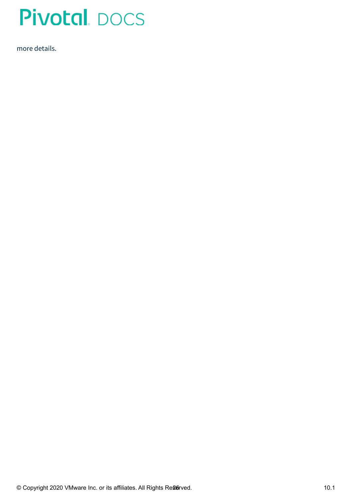

more details.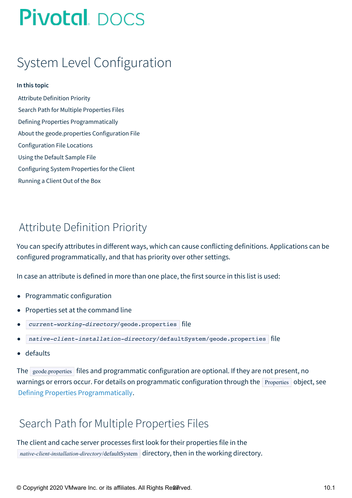## <span id="page-26-0"></span>System Level Configuration

#### **In this topic**

Attribute [Definition](#page-26-1) Priority Search Path for Multiple [Properties](#page-26-2) Files Defining Properties [Programmatically](#page-27-0) About the [geode.properties](#page-27-1) Configuration File [Configuration](#page-27-2) File Locations Using the Default [Sample](#page-27-3) File [Configuring](#page-28-0) System Properties for the Client [Running](#page-29-0) a Client Out of the Box

### <span id="page-26-1"></span>Attribute Definition Priority

You can specify attributes in different ways, which can cause conflicting definitions. Applications can be configured programmatically, and that has priority over other settings.

In case an attribute is defined in more than one place, the first source in this list is used:

- Programmatic configuration
- Properties set at the command line
- current-working-directory/geode.properties file
- native-client-installation-directory/defaultSystem/geode.properties file
- defaults

The geode.properties files and programmatic configuration are optional. If they are not present, no warnings or errors occur. For details on programmatic configuration through the **Properties** object, see Defining Properties [Programmatically](#page-27-0).

### <span id="page-26-2"></span>Search Path for Multiple Properties Files

The client and cache server processes first look for their properties file in the *native-client-installation-directory*/defaultSystem directory, then in the working directory.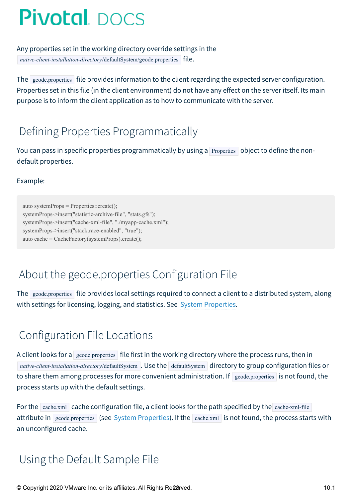Any properties set in the working directory override settings in the *native-client-installation-directory/defaultSystem/geode.properties* file.

The geode.properties file provides information to the client regarding the expected server configuration. Properties set in this file (in the client environment) do not have any effect on the server itself. Its main purpose is to inform the client application as to how to communicate with the server.

## <span id="page-27-0"></span>Defining Properties Programmatically

You can pass in specific properties programmatically by using a Properties object to define the nondefault properties.

Example:

auto systemProps = Properties::create(); systemProps->insert("statistic-archive-file", "stats.gfs"); systemProps->insert("cache-xml-file", "./myapp-cache.xml"); systemProps->insert("stacktrace-enabled", "true"); auto cache = CacheFactory(systemProps).create();

## <span id="page-27-1"></span>About the geode.properties Configuration File

The geode.properties file provides local settings required to connect a client to a distributed system, along with settings for licensing, logging, and statistics. See System [Properties](#page-81-0).

### <span id="page-27-2"></span>Configuration File Locations

A client looks for a geode.properties file first in the working directory where the process runs, then in *native-client-installation-directory/defaultSystem* . Use the defaultSystem directory to group configuration files or to share them among processes for more convenient administration. If  $\frac{1}{2}$  geode.properties is not found, the process starts up with the default settings.

For the cache.xml cache configuration file, a client looks for the path specified by the cache-xml-file attribute in geode.properties (see System Properties). If the cache.xml is not found, the process starts with an unconfigured cache.

### <span id="page-27-3"></span>Using the Default Sample File

© Copyright 2020 VMware Inc. or its affiliates. All Rights Re**26**rved. 10.1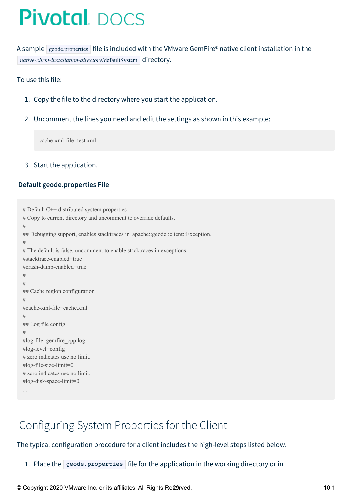A sample geode.properties file is included with the VMware GemFire® native client installation in the *native-client-installation-directory/defaultSystem* directory.

#### To use this file:

- 1. Copy the file to the directory where you start the application.
- 2. Uncomment the lines you need and edit the settings as shown in this example:

cache-xml-file=test.xml

#### 3. Start the application.

#### **Default geode.properties File**

```
# Default C++ distributed system properties
# Copy to current directory and uncomment to override defaults.
#
## Debugging support, enables stacktraces in apache::geode::client::Exception.
#
# The default is false, uncomment to enable stacktraces in exceptions.
#stacktrace-enabled=true
#crash-dump-enabled=true
#
#
## Cache region configuration
#
#cache-xml-file=cache.xml
#
## Log file config
#
#log-file=gemfire_cpp.log
#log-level=config
# zero indicates use no limit.
#log-file-size-limit=0
# zero indicates use no limit.
#log-disk-space-limit=0
```
...

### <span id="page-28-0"></span>Configuring System Properties for the Client

#### The typical configuration procedure for a client includes the high-level steps listed below.

1. Place the geode.properties file for the application in the working directory or in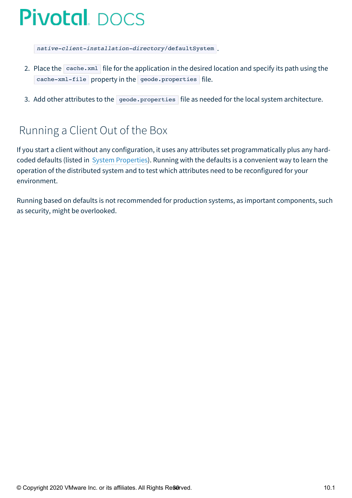native-client-installation-directory/defaultSystem .

- 2. Place the  $\sqrt{\text{cache.xml}}$  file for the application in the desired location and specify its path using the cache-xml-file property in the geode.properties file.
- 3. Add other attributes to the geode.properties file as needed for the local system architecture.

### <span id="page-29-0"></span>Running a Client Out of the Box

If you start a client without any configuration, it uses any attributes set programmatically plus any hardcoded defaults (listed in System Properties). Running with the defaults is a convenient way to learn the operation of the distributed system and to test which attributes need to be reconfigured for your environment.

Running based on defaults is not recommended for production systems, as important components, such as security, might be overlooked.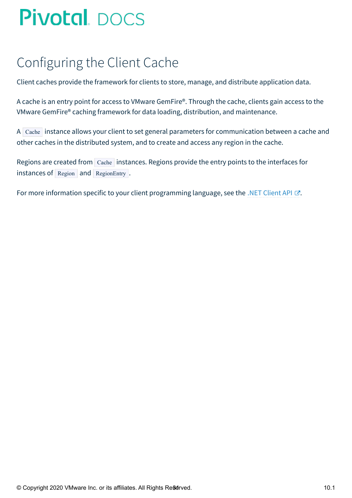## <span id="page-30-0"></span>Configuring the Client Cache

Client caches provide the framework for clients to store, manage, and distribute application data.

A cache is an entry point for access to VMware GemFire®. Through the cache, clients gain access to the VMware GemFire® caching framework for data loading, distribution, and maintenance.

A Cache instance allows your client to set general parameters for communication between a cache and other caches in the distributed system, and to create and access any region in the cache.

Regions are created from Cache instances. Regions provide the entry points to the interfaces for instances of Region and RegionEntry .

For more information specific to your client programming language, see the .NET [Client](http://docs-gemfire-native-dotnet-staging.cfapps.io/101/geode-native-client-dotnet/configuring/dotnetdocs) API  $\mathbb{Z}$ .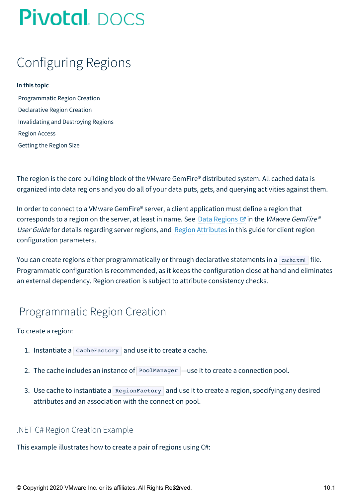## <span id="page-31-0"></span>Configuring Regions

#### **In this topic**

[Programmatic](#page-31-1) Region Creation [Declarative](#page-32-0) Region Creation [Invalidating](#page-33-0) and Destroying Regions [Region](#page-33-1) Access [Getting](#page-34-0) the Region Size

The region is the core building block of the VMware GemFire® distributed system. All cached data is organized into data regions and you do all of your data puts, gets, and querying activities against them.

In order to connect to a VMware GemFire® server, a client application must define a region that corresponds to a region on the server, at least in name. See Data [Regions](http://docs-gemfire-native-dotnet-staging.cfapps.io/101/geode-native-client-dotnet/regions/geodeman/basic_config/data_regions/chapter_overview.html)  $\mathbb{Z}$  in the VMware GemFire® User Guide for details regarding server regions, and Region [Attributes](#page-38-1) in this guide for client region configuration parameters.

You can create regions either programmatically or through declarative statements in a  $\alpha$  cache.xml file. Programmatic configuration is recommended, as it keeps the configuration close at hand and eliminates an external dependency. Region creation is subject to attribute consistency checks.

### <span id="page-31-1"></span>Programmatic Region Creation

#### To create a region:

- 1. Instantiate a  $\vert$  Cache Factory and use it to create a cache.
- 2. The cache includes an instance of PoolManager —use it to create a connection pool.
- 3. Use cache to instantiate a RegionFactory and use it to create a region, specifying any desired attributes and an association with the connection pool.

#### .NET C# Region Creation Example

This example illustrates how to create a pair of regions using C#: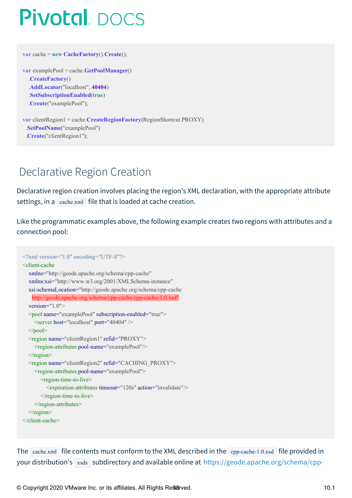**var** cache = **new CacheFactory**().**Create**();

```
var examplePool = cache.GetPoolManager()
  .CreateFactory()
  .AddLocator("localhost", 40404)
  .SetSubscriptionEnabled(true)
  .Create("examplePool");
```
**var** clientRegion1 = cache.**CreateRegionFactory**(RegionShortcut.PROXY) .**SetPoolName**("examplePool") .**Create**("clientRegion1");

## <span id="page-32-0"></span>Declarative Region Creation

Declarative region creation involves placing the region's XML declaration, with the appropriate attribute settings, in a  $\vert$  cache.xml file that is loaded at cache creation.

Like the programmatic examples above, the following example creates two regions with attributes and a connection pool:

```
\langle \timession="1.0" encoding="UTF-8"?>
<client-cache
  xmlns="http://geode.apache.org/schema/cpp-cache"
  xmlns:xsi="http://www.w3.org/2001/XMLSchema-instance"
  xsi:schemaLocation="http://geode.apache.org/schema/cpp-cache
   http://geode.apache.org/schema/cpp-cache/cpp-cache-1.0.xsd"
  version="1.0">
  <pool name="examplePool" subscription-enabled="true">
    <server host="localhost" port="40404" />
  </pool>
  <region name="clientRegion1" refid="PROXY">
    <region-attributes pool-name="examplePool"/>
  \langleregion\rangle<region name="clientRegion2" refid="CACHING_PROXY">
    <region-attributes pool-name="examplePool">
       <region-time-to-live>
         <expiration-attributes timeout="120s" action="invalidate"/>
       \le/region-time-to-live>
    \le/region-attributes>
  \langleregion\rangle</client-cache>
```
The cache.xml file contents must conform to the XML described in the cpp-cache-1.0.xsd file provided in your distribution's  $x_{\text{sads}}$  subdirectory and available online at [https://geode.apache.org/schema/cpp-](https://geode.apache.org/schema/cpp-cache/cpp-cache-1.0.xsd)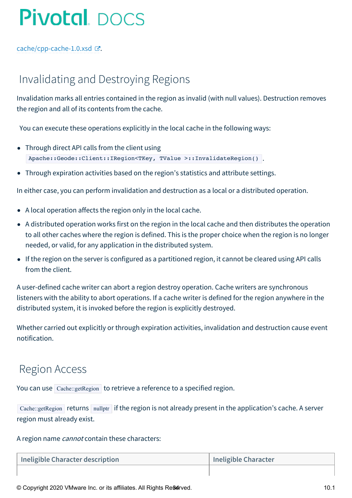cache/cpp-cache-1.0.xsd  $\mathbb{Z}$ .

### <span id="page-33-0"></span>Invalidating and Destroying Regions

Invalidation marks all entries contained in the region as invalid (with null values). Destruction removes the region and all of its contents from the cache.

You can execute these operations explicitly in the local cache in the following ways:

- Through direct API calls from the client using Apache::Geode::Client::IRegion<TKey, TValue >::InvalidateRegion() .
- Through expiration activities based on the region's statistics and attribute settings.

In either case, you can perform invalidation and destruction as a local or a distributed operation.

- A local operation affects the region only in the local cache.
- A distributed operation works first on the region in the local cache and then distributes the operation to all other caches where the region is defined. This is the proper choice when the region is no longer needed, or valid, for any application in the distributed system.
- If the region on the server is configured as a partitioned region, it cannot be cleared using API calls from the client.

A user-defined cache writer can abort a region destroy operation. Cache writers are synchronous listeners with the ability to abort operations. If a cache writer is defined for the region anywhere in the distributed system, it is invoked before the region is explicitly destroyed.

Whether carried out explicitly or through expiration activities, invalidation and destruction cause event notification.

#### <span id="page-33-1"></span>Region Access

You can use Cache::getRegion to retrieve a reference to a specified region.

Cache::getRegion returns nullptr if the region is not already present in the application's cache. A server region must already exist.

#### A region name *cannot* contain these characters:

| Ineligible Character description | Ineligible Character |
|----------------------------------|----------------------|
|                                  |                      |

© Copyright 2020 VMware Inc. or its affiliates. All Rights Reserved. 10.1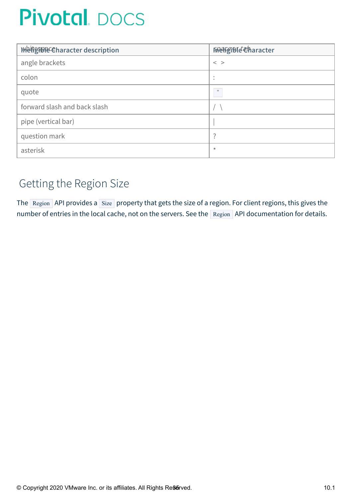| WeiterDRECharacter description | <b>FReigiBle character</b> |
|--------------------------------|----------------------------|
| angle brackets                 | $\,<\,$ $\,>$              |
| colon                          |                            |
| quote                          | $\mathbb{H}$               |
| forward slash and back slash   |                            |
| pipe (vertical bar)            |                            |
| question mark                  | 7                          |
| asterisk                       | $\star$                    |

### <span id="page-34-0"></span>Getting the Region Size

The Region API provides a Size property that gets the size of a region. For client regions, this gives the number of entries in the local cache, not on the servers. See the Region API documentation for details.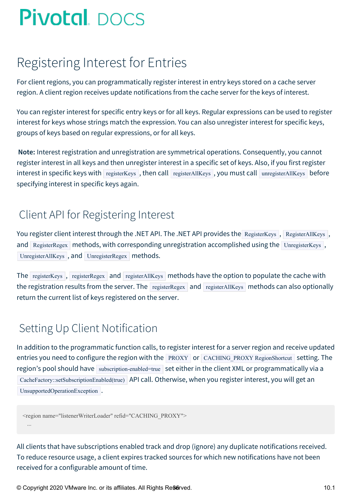## <span id="page-35-0"></span>Registering Interest for Entries

For client regions, you can programmatically register interest in entry keys stored on a cache server region. A client region receives update notifications from the cache server for the keys of interest.

You can register interest for specific entry keys or for all keys. Regular expressions can be used to register interest for keys whose strings match the expression. You can also unregister interest for specific keys, groups of keys based on regular expressions, or for all keys.

**Note:** Interest registration and unregistration are symmetrical operations. Consequently, you cannot register interest in all keys and then unregister interest in a specific set of keys. Also, if you first register interest in specific keys with registerKeys, then call registerAllKeys, you must call unregisterAllKeys before specifying interest in specific keys again.

### Client API for Registering Interest

You register client interest through the .NET API. The .NET API provides the RegisterKeys , RegisterAllKeys, and RegisterRegex methods, with corresponding unregistration accomplished using the UnregisterKeys, UnregisterAllKeys, and UnregisterRegex methods.

The registerKeys, registerRegex and registerAllKeys methods have the option to populate the cache with the registration results from the server. The registerRegex and registerAllKeys methods can also optionally return the current list of keys registered on the server.

### Setting Up Client Notification

In addition to the programmatic function calls, to register interest for a server region and receive updated entries you need to configure the region with the PROXY or CACHING\_PROXY RegionShortcut setting. The region's pool should have subscription-enabled=true set either in the client XML or programmatically via a CacheFactory::setSubscriptionEnabled(true) API call. Otherwise, when you register interest, you will get an UnsupportedOperationException.

```
<region name="listenerWriterLoader" refid="CACHING_PROXY">
 ...
```
All clients that have subscriptions enabled track and drop (ignore) any duplicate notifications received. To reduce resource usage, a client expires tracked sources for which new notifications have not been received for a configurable amount of time.

© Copyright 2020 VMware Inc. or its affiliates. All Rights Reserved. 10.1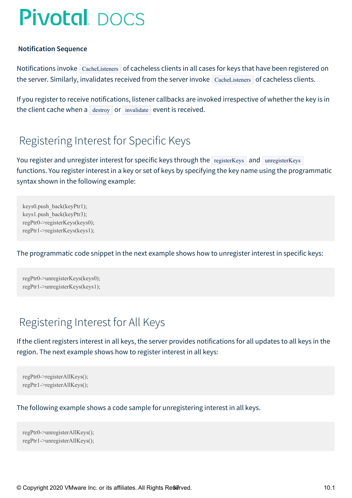#### <span id="page-36-0"></span>**Notification Sequence**

Notifications invoke CacheListeners of cacheless clients in all cases for keys that have been registered on the server. Similarly, invalidates received from the server invoke  $\vert$  CacheListeners  $\vert$  of cacheless clients.

If you register to receive notifications, listener callbacks are invoked irrespective of whether the key is in the client cache when a  $\vert$  destroy or invalidate event is received.

### Registering Interest for Specific Keys

You register and unregister interest for specific keys through the registerKeys and unregisterKeys functions. You register interest in a key or set of keys by specifying the key name using the programmatic syntax shown in the following example:

keys0.push\_back(keyPtr1); keys1.push\_back(keyPtr3); regPtr0->registerKeys(keys0); regPtr1->registerKeys(keys1);

The programmatic code snippet in the next example shows how to unregister interest in specific keys:

regPtr0->unregisterKeys(keys0); regPtr1->unregisterKeys(keys1);

### Registering Interest for All Keys

If the client registers interest in all keys, the server provides notifications for all updates to all keys in the region. The next example shows how to register interest in all keys:

```
regPtr0->registerAllKeys();
regPtr1->registerAllKeys();
```
The following example shows a code sample for unregistering interest in all keys.

```
regPtr0->unregisterAllKeys();
regPtr1->unregisterAllKeys();
```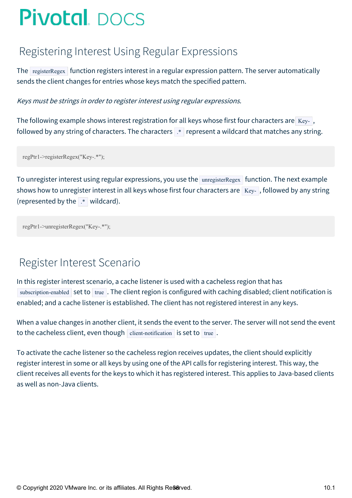### Registering Interest Using Regular Expressions

The registerRegex function registers interest in a regular expression pattern. The server automatically sends the client changes for entries whose keys match the specified pattern.

Keys must be strings in order to register interest using regular expressions.

The following example shows interest registration for all keys whose first four characters are  $Key-$ , followed by any string of characters. The characters  $\mathbf{R}^*$  represent a wildcard that matches any string.

regPtr1->registerRegex("Key-.\*");

To unregister interest using regular expressions, you use the unregisterRegex function. The next example shows how to unregister interest in all keys whose first four characters are  $Key-$ , followed by any string (represented by the  $\mathbb{R}$  wildcard).

```
regPtr1->unregisterRegex("Key-.*");
```
### Register Interest Scenario

In this register interest scenario, a cache listener is used with a cacheless region that has subscription-enabled set to true . The client region is configured with caching disabled; client notification is enabled; and a cache listener is established. The client has not registered interest in any keys.

When a value changes in another client, it sends the event to the server. The server will not send the event to the cacheless client, even though client-notification is set to true.

To activate the cache listener so the cacheless region receives updates, the client should explicitly register interest in some or all keys by using one of the API calls for registering interest. This way, the client receives all events for the keys to which it has registered interest. This applies to Java-based clients as well as non-Java clients.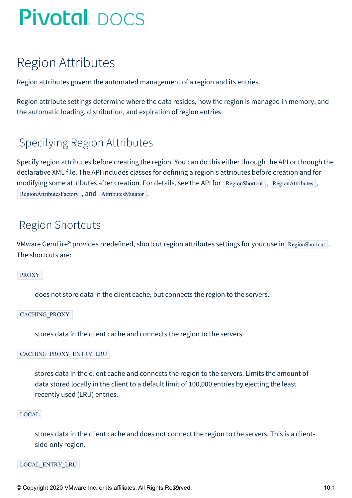## Region Attributes

Region attributes govern the automated management of a region and its entries.

Region attribute settings determine where the data resides, how the region is managed in memory, and the automatic loading, distribution, and expiration of region entries.

### Specifying Region Attributes

Specify region attributes before creating the region. You can do this either through the API or through the declarative XML file. The API includes classes for defining a region's attributes before creation and for modifying some attributes after creation. For details, see the API for RegionShortcut, RegionAttributes, RegionAttributesFactory , and AttributesMutator .

### Region Shortcuts

VMware GemFire® provides predefined, shortcut region attributes settings for your use in RegionShortcut . The shortcuts are:

PROXY

does not store data in the client cache, but connects the region to the servers.

CACHING\_PROXY

stores data in the client cache and connects the region to the servers.

CACHING\_PROXY\_ENTRY\_LRU

stores data in the client cache and connects the region to the servers. Limits the amount of data stored locally in the client to a default limit of 100,000 entries by ejecting the least recently used (LRU) entries.

#### LOCAL

stores data in the client cache and does not connect the region to the servers. This is a clientside-only region.

LOCAL\_ENTRY\_LRU

© Copyright 2020 VMware Inc. or its affiliates. All Rights Reserved. 10.1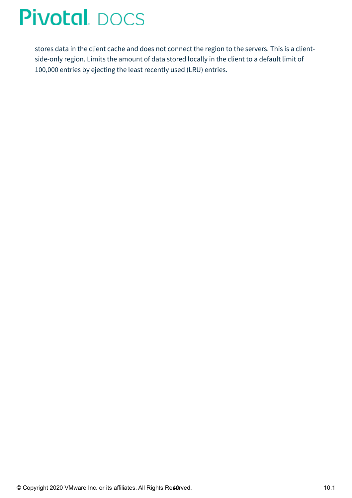stores data in the client cache and does not connect the region to the servers. This is a clientside-only region. Limits the amount of data stored locally in the client to a default limit of 100,000 entries by ejecting the least recently used (LRU) entries.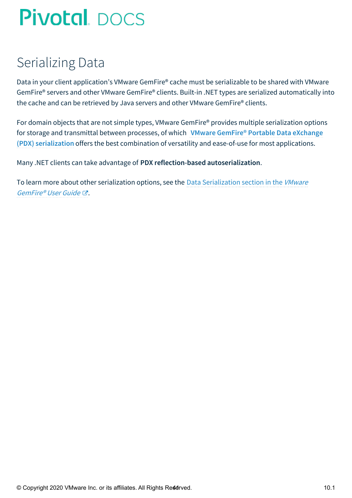## Serializing Data

Data in your client application's VMware GemFire® cache must be serializable to be shared with VMware GemFire® servers and other VMware GemFire® clients. Built-in .NET types are serialized automatically into the cache and can be retrieved by Java servers and other VMware GemFire® clients.

For domain objects that are not simple types, VMware GemFire® provides multiple serialization options for storage and transmittal between processes, of which **VMware GemFire® Portable Data eXchange (PDX) serialization** offers the best combination of versatility and ease-of-use for most [applications.](#page-41-0)

Many .NET clients can take advantage of **PDX reflection-based autoserialization**.

To learn more about other serialization options, see the Data [Serialization](http://docs-gemfire-native-dotnet-staging.cfapps.io/101/geode-native-client-dotnet/serialization/serverman/developing/data_serialization/chapter_overview.html) section in the VMware GemFire® User Guide .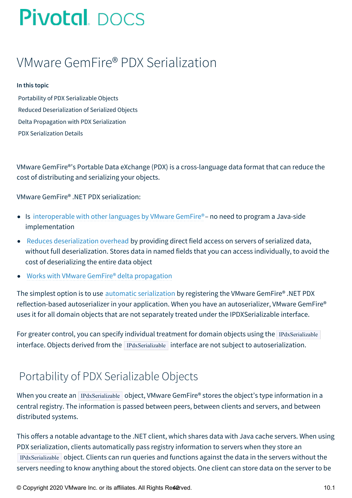## <span id="page-41-0"></span>VMware GemFire® PDX Serialization

#### **In this topic**

Portability of PDX [Serializable](#page-41-1) Objects Reduced [Deserialization](#page-42-0) of Serialized Objects Delta Propagation with PDX [Serialization](#page-42-1) PDX [Serialization](#page-42-2) Details

VMware GemFire®'s Portable Data eXchange (PDX) is a cross-language data format that can reduce the cost of distributing and serializing your objects.

VMware GemFire® .NET PDX serialization:

- Is [interoperable](#page-41-1) with other languages by VMware GemFire®– no need to program a Java-side implementation
- Reduces [deserialization](#page-42-0) overhead by providing direct field access on servers of serialized data, without full deserialization. Stores data in named fields that you can access individually, to avoid the cost of deserializing the entire data object
- Works with VMware GemFire® delta [propagation](#page-42-1)  $\bullet$

The simplest option is to use automatic [serialization](#page-44-0) by registering the VMware GemFire® .NET PDX reflection-based autoserializer in your application. When you have an autoserializer, VMware GemFire® uses it for all domain objects that are not separately treated under the IPDXSerializable interface.

For greater control, you can specify individual treatment for domain objects using the IPdxSerializable interface. Objects derived from the IPdxSerializable interface are not subject to autoserialization.

### <span id="page-41-1"></span>Portability of PDX Serializable Objects

When you create an IPdxSerializable object, VMware GemFire® stores the object's type information in a central registry. The information is passed between peers, between clients and servers, and between distributed systems.

This offers a notable advantage to the .NET client, which shares data with Java cache servers. When using PDX serialization, clients automatically pass registry information to servers when they store an IPdxSerializable object. Clients can run queries and functions against the data in the servers without the servers needing to know anything about the stored objects. One client can store data on the server to be

© Copyright 2020 VMware Inc. or its affiliates. All Rights Reserved.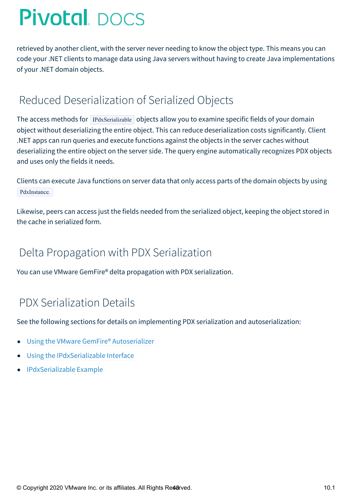retrieved by another client, with the server never needing to know the object type. This means you can code your .NET clients to manage data using Java servers without having to create Java implementations of your .NET domain objects.

### <span id="page-42-0"></span>Reduced Deserialization of Serialized Objects

The access methods for IPdxSerializable objects allow you to examine specific fields of your domain object without deserializing the entire object. This can reduce deserialization costs significantly. Client .NET apps can run queries and execute functions against the objects in the server caches without deserializing the entire object on the server side. The query engine automatically recognizes PDX objects and uses only the fields it needs.

Clients can execute Java functions on server data that only access parts of the domain objects by using PdxInstance.

Likewise, peers can access just the fields needed from the serialized object, keeping the object stored in the cache in serialized form.

### <span id="page-42-1"></span>Delta Propagation with PDX Serialization

You can use VMware GemFire® delta propagation with PDX serialization.

### <span id="page-42-2"></span>PDX Serialization Details

See the following sections for details on implementing PDX serialization and autoserialization:

- Using the VMware GemFire® [Autoserializer](#page-44-0)  $\bullet$
- Using the [IPdxSerializable](#page-48-0) Interface
- [IPdxSerializable](#page-51-0) Example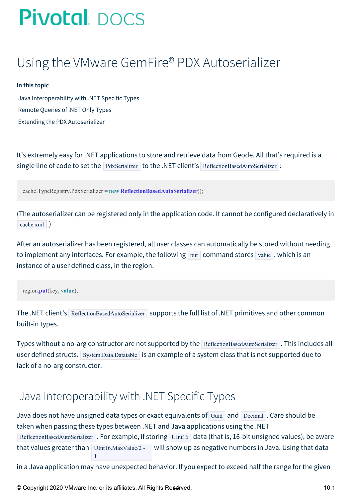## Using the VMware GemFire® PDX Autoserializer

#### **In this topic**

Java [Interoperability](#page-43-0) with .NET Specific Types [Remote](#page-44-1) Queries of .NET Only Types Extending the PDX [Autoserializer](#page-44-2)

It's extremely easy for .NET applications to store and retrieve data from Geode. All that's required is a single line of code to set the PdxSerializer to the .NET client's ReflectionBasedAutoSerializer :

cache.TypeRegistry.PdxSerializer = **new ReflectionBasedAutoSerializer**();

(The autoserializer can be registered only in the application code. It cannot be configured declaratively in cache.xml .)

After an autoserializer has been registered, all user classes can automatically be stored without needing to implement any interfaces. For example, the following  $|$  put  $|$  command stores  $|$  value  $|$ , which is an instance of a user defined class, in the region.

region.**put**(key, **value**);

The .NET client's ReflectionBasedAutoSerializer supports the full list of .NET primitives and other common built-in types.

Types without a no-arg constructor are not supported by the ReflectionBasedAutoSerializer . This includes all user defined structs. System.Data.Datatable is an example of a system class that is not supported due to lack of a no-arg constructor.

### <span id="page-43-0"></span>Java Interoperability with .NET Specific Types

Java does not have unsigned data types or exact equivalents of Guid and Decimal . Care should be taken when passing these types between .NET and Java applications using the .NET ReflectionBasedAutoSerializer . For example, if storing UInt16 data (that is, 16-bit unsigned values), be aware that values greater than UInt16.MaxValue/2 - 1 will show up as negative numbers in Java. Using that data

in a Java application may have unexpected behavior. If you expect to exceed half the range for the given

© Copyright 2020 VMware Inc. or its affiliates. All Rights Reserved. 10.1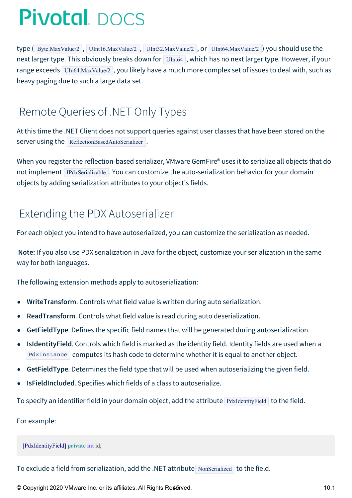<span id="page-44-0"></span>type ( Byte.MaxValue/2 , UInt16.MaxValue/2 , UInt32.MaxValue/2 , or UInt64.MaxValue/2 ) you should use the next larger type. This obviously breaks down for UInt64, which has no next larger type. However, if your range exceeds UIn64.MaxValue/2 , you likely have a much more complex set of issues to deal with, such as heavy paging due to such a large data set.

### <span id="page-44-1"></span>Remote Queries of .NET Only Types

At this time the .NET Client does not support queries against user classes that have been stored on the server using the ReflectionBasedAutoSerializer.

When you register the reflection-based serializer, VMware GemFire® uses it to serialize all objects that do not implement IPdxSerializable . You can customize the auto-serialization behavior for your domain objects by adding serialization attributes to your object's fields.

### <span id="page-44-2"></span>Extending the PDX Autoserializer

For each object you intend to have autoserialized, you can customize the serialization as needed.

**Note:** If you also use PDX serialization in Java for the object, customize your serialization in the same way for both languages.

The following extension methods apply to autoserialization:

- **WriteTransform**. Controls what field value is written during auto serialization.
- **ReadTransform**. Controls what field value is read during auto deserialization.
- **GetFieldType**. Defines the specific field names that will be generated during autoserialization.  $\bullet$
- **IsIdentityField**. Controls which field is marked as the identity field. Identity fields are used when a  $\bullet$ PdxInstance computes its hash code to determine whether it is equal to another object.
- **GetFieldType**. Determines the field type that will be used when autoserializing the given field.
- **IsFieldIncluded**. Specifies which fields of a class to autoserialize.  $\bullet$

To specify an identifier field in your domain object, add the attribute PdxIdentityField to the field.

For example:

[PdxIdentityField] **private int** id;

To exclude a field from serialization, add the .NET attribute NonSerialized to the field.

© Copyright 2020 VMware Inc. or its affiliates. All Rights Reserved. 10.1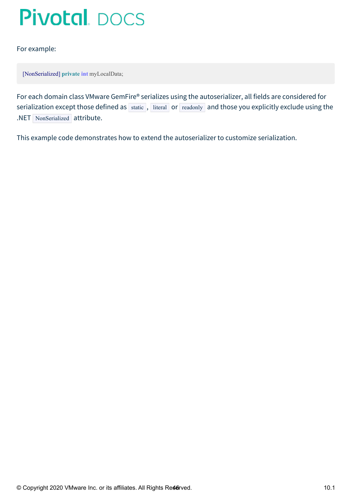For example:

[NonSerialized] **private int** myLocalData;

For each domain class VMware GemFire® serializes using the autoserializer, all fields are considered for serialization except those defined as  $\vert$  static  $\vert$ , literal or readonly and those you explicitly exclude using the .NET NonSerialized attribute.

This example code demonstrates how to extend the autoserializer to customize serialization.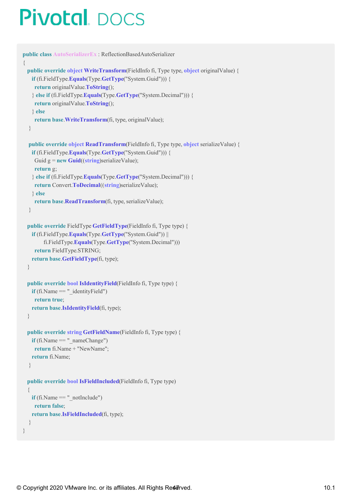```
public class AutoSerializerEx : ReflectionBasedAutoSerializer
{
 public override object WriteTransform(FieldInfo fi, Type type, object originalValue) {
   if (fi.FieldType.Equals(Type.GetType("System.Guid"))) {
    return originalValue.ToString();
   } else if (fi.FieldType.Equals(Type.GetType("System.Decimal"))) {
    return originalValue.ToString();
   } else
    return base.WriteTransform(fi, type, originalValue);
  }
  public override object ReadTransform(FieldInfo fi, Type type, object serializeValue) {
   if (fi.FieldType.Equals(Type.GetType("System.Guid"))) {
    Guid g = new Guid((string)serializeValue);
    return g;
   } else if (fi.FieldType.Equals(Type.GetType("System.Decimal"))) {
    return Convert.ToDecimal((string)serializeValue);
   } else
    return base.ReadTransform(fi, type, serializeValue);
  }
  public override FieldType GetFieldType(FieldInfo fi, Type type) {
   if (fi.FieldType.Equals(Type.GetType("System.Guid")) ||
        fi.FieldType.Equals(Type.GetType("System.Decimal")))
    return FieldType.STRING;
   return base.GetFieldType(fi, type);
  }
  public override bool IsIdentityField(FieldInfo fi, Type type) {
   \textbf{if} (fi.Name == " identityField")
    return true;
   return base.IsIdentityField(fi, type);
  }
  public override string GetFieldName(FieldInfo fi, Type type) {
   if (fi.Name ==" nameChange")
    return fi.Name + "NewName";
   return fi.Name;
  }
  public override bool IsFieldIncluded(FieldInfo fi, Type type)
  {
   \mathbf{if} (fi. Name == " notInclude")
    return false;
   return base.IsFieldIncluded(fi, type);
  }
```
}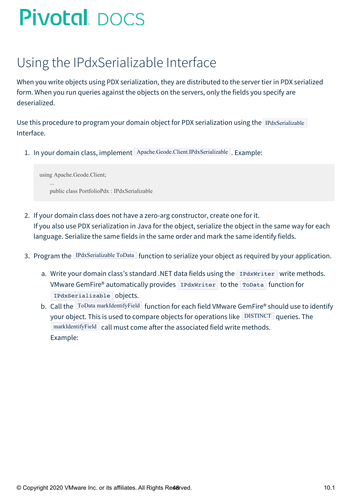## Using the IPdxSerializable Interface

When you write objects using PDX serialization, they are distributed to the server tier in PDX serialized form. When you run queries against the objects on the servers, only the fields you specify are deserialized.

Use this procedure to program your domain object for PDX serialization using the IPdxSerializable Interface.

1. In your domain class, implement Apache.Geode.Client.IPdxSerializable . Example:

using Apache.Geode.Client; ... public class PortfolioPdx : IPdxSerializable

- 2. If your domain class does not have a zero-arg constructor, create one for it. If you also use PDX serialization in Java for the object, serialize the object in the same way for each language. Serialize the same fields in the same order and mark the same identify fields.
- 3. Program the IPdxSerializable ToData function to serialize your object as required by your application.
	- a. Write your domain class's standard .NET data fields using the IPdxWriter write methods. VMware GemFire® automatically provides IPdxWriter to the ToData function for IPdxSerializable objects.
	- b. Call the ToData markIdentifyField function for each field VMware GemFire® should use to identify your object. This is used to compare objects for operations like DISTINCT queries. The markIdentifyField call must come after the associated field write methods. Example: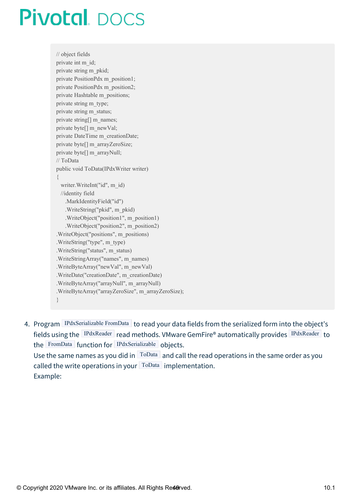<span id="page-48-0"></span>// object fields private int m\_id; private string m\_pkid; private PositionPdx m\_position1; private PositionPdx m\_position2; private Hashtable m\_positions; private string m\_type; private string m\_status; private string[] m\_names; private byte[] m\_newVal; private DateTime m\_creationDate; private byte[] m\_arrayZeroSize; private byte[] m\_arrayNull; // ToData public void ToData(IPdxWriter writer) { writer.WriteInt("id", m\_id) //identity field .MarkIdentityField("id") .WriteString("pkid", m\_pkid) .WriteObject("position1", m\_position1) .WriteObject("position2", m\_position2) .WriteObject("positions", m\_positions) .WriteString("type", m\_type) .WriteString("status", m\_status) .WriteStringArray("names", m\_names) .WriteByteArray("newVal", m\_newVal) .WriteDate("creationDate", m\_creationDate) .WriteByteArray("arrayNull", m\_arrayNull) .WriteByteArray("arrayZeroSize", m\_arrayZeroSize); }

4. Program IPdxSerializable FromData to read your data fields from the serialized form into the object's fields using the IPdxReader read methods. VMware GemFire® automatically provides IPdxReader to the FromData function for IPdxSerializable objects. Use the same names as you did in  $\sqrt{10D}$  and call the read operations in the same order as you called the write operations in your  $\lceil \text{ToData} \rceil$  implementation. Example: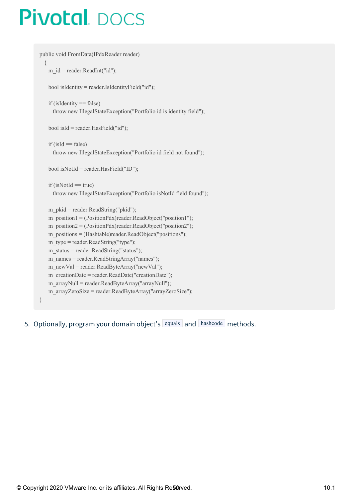```
public void FromData(IPdxReader reader)
 {
   m id = reader.ReadInt("id");bool isIdentity = reader.IsIdentityField("id");
   if (isIdentity == false)throw new IllegalStateException("Portfolio id is identity field");
   bool isId = reader.HasField("id");
   if (isld == false)throw new IllegalStateException("Portfolio id field not found");
   bool isNotId = reader.HasField("ID");
   if (isNotId == true)throw new IllegalStateException("Portfolio isNotId field found");
   m_pkid = reader.ReadString("pkid");
   m_position1 = (PositionPdx)reader.ReadObject("position1");
   m_position2 = (PositionPdx)reader.ReadObject("position2");
   m_positions = (Hashtable)reader.ReadObject("positions");
   m_type = reader.ReadString("type");
   m_status = reader.ReadString("status");
   m_names = reader.ReadStringArray("names");
   m_newVal = reader.ReadByteArray("newVal");
   m_creationDate = reader.ReadDate("creationDate");
   m_arrayNull = reader.ReadByteArray("arrayNull");
   m_arrayZeroSize = reader.ReadByteArray("arrayZeroSize");
}
```
5. Optionally, program your domain object's equals and hashcode methods.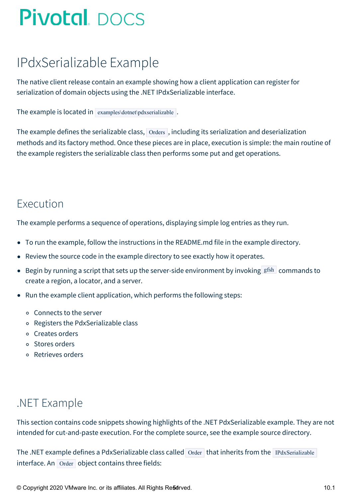## IPdxSerializable Example

The native client release contain an example showing how a client application can register for serialization of domain objects using the .NET IPdxSerializable interface.

The example is located in examples\dotnet\pdxserializable.

The example defines the serializable class,  $\vert$  Orders , including its serialization and deserialization methods and its factory method. Once these pieces are in place, execution is simple: the main routine of the example registers the serializable class then performs some put and get operations.

### Execution

The example performs a sequence of operations, displaying simple log entries as they run.

- To run the example, follow the instructions in the README.md file in the example directory.
- Review the source code in the example directory to see exactly how it operates.
- **•** Begin by running a script that sets up the server-side environment by invoking  $gfsh$  commands to create a region, a locator, and a server.
- Run the example client application, which performs the following steps:
	- Connects to the server
	- Registers the PdxSerializable class
	- Creates orders
	- Stores orders
	- Retrieves orders

### .NET Example

This section contains code snippets showing highlights of the .NET PdxSerializable example. They are not intended for cut-and-paste execution. For the complete source, see the example source directory.

The .NET example defines a PdxSerializable class called Order that inherits from the IPdxSerializable  $interface.$  An  $O<sub>rder</sub>$  object contains three fields:

© Copyright 2020 VMware Inc. or its affiliates. All Rights Re5erved. 10.1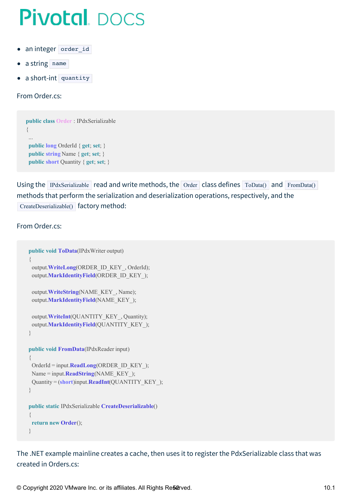- <span id="page-51-0"></span>an integer order id  $\bullet$
- a string name
- a short-int quantity  $\bullet$

From Order.cs:

```
public class Order : IPdxSerializable
{
 ...
 public long OrderId { get; set; }
 public string Name { get; set; }
 public short Quantity { get; set; }
```
Using the IPdxSerializable read and write methods, the Order class defines  $ToData()$  and  $FromData()$ methods that perform the serialization and deserialization operations, respectively, and the CreateDeserializable() factory method:

#### From Order.cs:

```
public void ToData(IPdxWriter output)
{
 output.WriteLong(ORDER_ID_KEY_, OrderId);
 output.MarkIdentityField(ORDER_ID_KEY_);
 output.WriteString(NAME_KEY_, Name);
 output.MarkIdentityField(NAME_KEY_);
 output.WriteInt(QUANTITY_KEY_, Quantity);
 output.MarkIdentityField(QUANTITY_KEY_);
}
public void FromData(IPdxReader input)
{
 OrderId = input.ReadLong(ORDER_ID_KEY_);
 Name = input.ReadString(NAME_KEY_);
 Quantity = (short)input.ReadInt(QUANTITY_KEY_);
}
public static IPdxSerializable CreateDeserializable()
{
 return new Order();
}
```
The .NET example mainline creates a cache, then uses it to register the PdxSerializable class that was created in Orders.cs:

© Copyright 2020 VMware Inc. or its affiliates. All Rights Researved. 10.1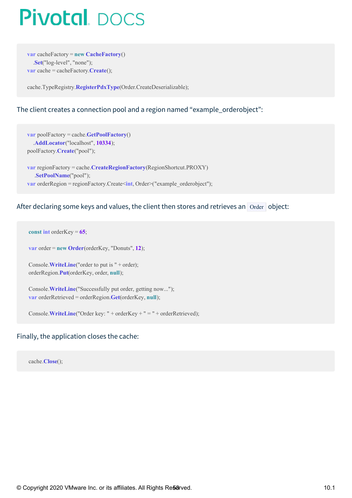**var** cacheFactory = **new CacheFactory**() .**Set**("log-level", "none"); **var** cache = cacheFactory.**Create**();

cache.TypeRegistry.**RegisterPdxType**(Order.CreateDeserializable);

#### The client creates a connection pool and a region named "example\_orderobject":

```
var poolFactory = cache.GetPoolFactory()
  .AddLocator("localhost", 10334);
poolFactory.Create("pool");
var regionFactory = cache.CreateRegionFactory(RegionShortcut.PROXY)
  .SetPoolName("pool");
var orderRegion = regionFactory.Create<int, Order>("example_orderobject");
```
#### After declaring some keys and values, the client then stores and retrieves an Order object:

```
const int orderKey = 65;
```
**var** order = **new Order**(orderKey, "Donuts", **12**);

Console.**WriteLine**("order to put is " + order); orderRegion.**Put**(orderKey, order, **null**);

Console.**WriteLine**("Successfully put order, getting now..."); **var** orderRetrieved = orderRegion.**Get**(orderKey, **null**);

Console.**WriteLine**("Order key: " + orderKey + " = " + orderRetrieved);

#### Finally, the application closes the cache:

cache.**Close**();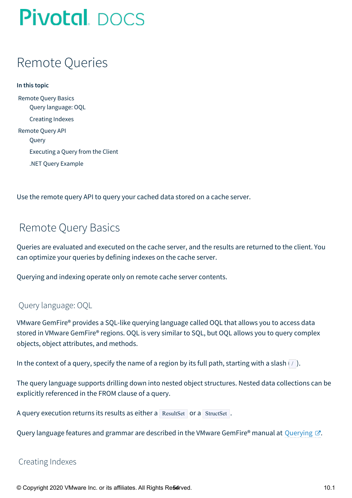## Remote Queries

**In this topic** [Remote](#page-53-0) Query Basics Query [language:](#page-53-1) OQL [Creating](#page-53-2) Indexes [Remote](#page-54-0) Query API [Query](#page-54-1) [Executing](#page-54-2) a Query from the Client .NET Query [Example](#page-54-3)

Use the remote query API to query your cached data stored on a cache server.

### <span id="page-53-0"></span>Remote Query Basics

Queries are evaluated and executed on the cache server, and the results are returned to the client. You can optimize your queries by defining indexes on the cache server.

Querying and indexing operate only on remote cache server contents.

#### <span id="page-53-1"></span>Query language: OQL

VMware GemFire® provides a SQL-like querying language called OQL that allows you to access data stored in VMware GemFire® regions. OQL is very similar to SQL, but OQL allows you to query complex objects, object attributes, and methods.

In the context of a query, specify the name of a region by its full path, starting with a slash  $|/|$ ).

The query language supports drilling down into nested object structures. Nested data collections can be explicitly referenced in the FROM clause of a query.

| A query execution returns its results as either a ResultSet or a StructSet. |  |  |  |  |
|-----------------------------------------------------------------------------|--|--|--|--|
|-----------------------------------------------------------------------------|--|--|--|--|

Query language features and grammar are described in the VMware GemFire® manual at [Querying](http://docs-gemfire-native-dotnet-staging.cfapps.io/101/geode-native-client-dotnet/geodeman/developing/querying_basics/chapter_overview.html)  $\mathbb{Z}$ .

#### <span id="page-53-2"></span>Creating Indexes

© Copyright 2020 VMware Inc. or its affiliates. All Rights Reserved. 10.1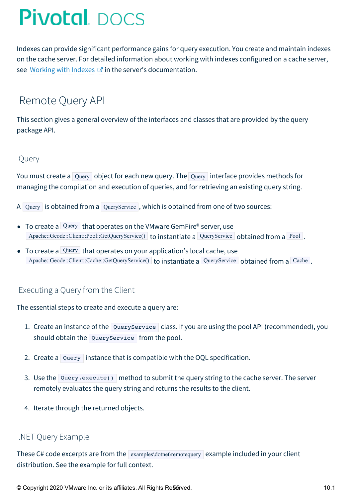<span id="page-54-4"></span>Indexes can provide significant performance gains for query execution. You create and maintain indexes on the cache server. For detailed information about working with indexes configured on a cache server, see [Working](http://docs-gemfire-native-dotnet-staging.cfapps.io/101/geode-native-client-dotnet/geodeman/developing/query_index/query_index.html) with Indexes  $\mathbb{Z}^n$  in the server's documentation.

### <span id="page-54-0"></span>Remote Query API

This section gives a general overview of the interfaces and classes that are provided by the query package API.

#### <span id="page-54-1"></span>Query

You must create a Query object for each new query. The Query interface provides methods for managing the compilation and execution of queries, and for retrieving an existing query string.

- A Query is obtained from a QueryService, which is obtained from one of two sources:
- To create a Query that operates on the VMware GemFire® server, use Apache::Geode::Client::Pool::GetQueryService() to instantiate a QueryService obtained from a Pool.
- $\bullet$  To create a Query that operates on your application's local cache, use Apache::Geode::Client::Cache::GetQueryService() to instantiate a QueryService obtained from a Cache.

### <span id="page-54-2"></span>Executing a Query from the Client

The essential steps to create and execute a query are:

- 1. Create an instance of the QueryService class. If you are using the pool API (recommended), you should obtain the QueryService from the pool.
- 2. Create a Query instance that is compatible with the OQL specification.
- 3. Use the Query.execute() method to submit the query string to the cache server. The server remotely evaluates the query string and returns the results to the client.
- 4. Iterate through the returned objects.

#### <span id="page-54-3"></span>.NET Query Example

These C# code excerpts are from the  $\vert$  examples\dotnet\remotequery example included in your client distribution. See the example for full context.

© Copyright 2020 VMware Inc. or its affiliates. All Rights Re56rved. 10.1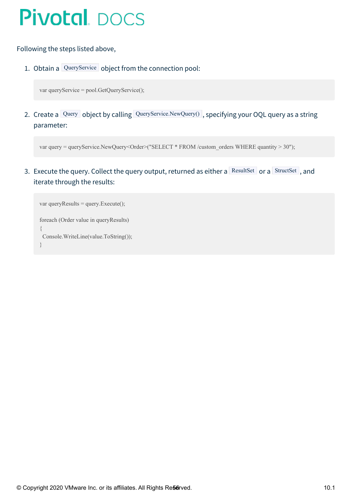#### Following the steps listed above,

1. Obtain a QueryService object from the connection pool:

var queryService = pool.GetQueryService();

2. Create a Query object by calling QueryService.NewQuery(), specifying your OQL query as a string parameter:

```
var query = queryService.NewQuery<Order>("SELECT * FROM /custom_orders WHERE quantity > 30");
```
3. Execute the query. Collect the query output, returned as either a ResultSet or a StructSet, and iterate through the results:

```
var queryResults = query. Execute();foreach (Order value in queryResults)
{
Console.WriteLine(value.ToString());
}
```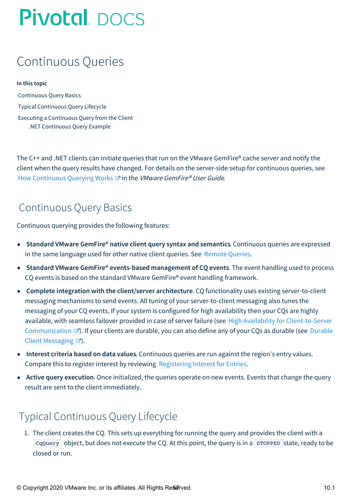### Continuous Queries

#### **In this topic**

[Continuous](#page-56-0) Query Basics Typical [Continuous](#page-56-1) Query Lifecycle Executing a [Continuous](#page-57-0) Query from the Client .NET [Continuous](#page-57-1) Query Example

The C++ and .NET clients can initiate queries that run on the VMware GemFire® cache server and notify the client when the query results have changed. For details on the server-side setup for continuous queries, see How [Continuous](http://docs-gemfire-native-dotnet-staging.cfapps.io/101/geode-native-client-dotnet/serverman/developing/continuous_querying/how_continuous_querying_works.html) Querying Works  $\mathbb G$  in the *VMware GemFire® User Guide*.

### <span id="page-56-0"></span>Continuous Query Basics

Continuous querying provides the following features:

- **Standard VMware GemFire® native client query syntax and semantics**. Continuous queries are expressed in the same language used for other native client queries. See [Remote](#page-54-4) Queries.
- **Standard VMware GemFire® events-based management of CQ events**. The event handling used to process CQ events is based on the standard VMware GemFire® event handling framework.
- **Complete integration with the client/server architecture**. CQ functionality uses existing server-to-client messaging mechanisms to send events. All tuning of your server-to-client messaging also tunes the messaging of your CQ events. If your system is configured for high availability then your CQs are highly available, with seamless failover provided in case of server failure (see High Availability for Client-to-Server [Communication](http://docs-gemfire-native-dotnet-staging.cfapps.io/101/geode-native-client-dotnet/preserving-data/high-availability-client-server.html)  $\mathbb{Z}$ ). If your clients are durable, you can also define any of your CQs as durable (see Durable Client Messaging  $\mathbb{Z}$ ).
- **Interest criteria based on data values**. Continuous queries are run against the region's entry values. Compare this to register interest by reviewing [Registering](#page-36-0) Interest for Entries.
- **Active query execution**. Once initialized, the queries operate on new events. Events that change the query result are sent to the client immediately.

### <span id="page-56-1"></span>Typical Continuous Query Lifecycle

1. The client creates the CQ. This sets up everything for running the query and provides the client with a  $CqQuery$  object, but does not execute the CQ. At this point, the query is in a  $S^{TOPED}$  state, ready to be closed or run.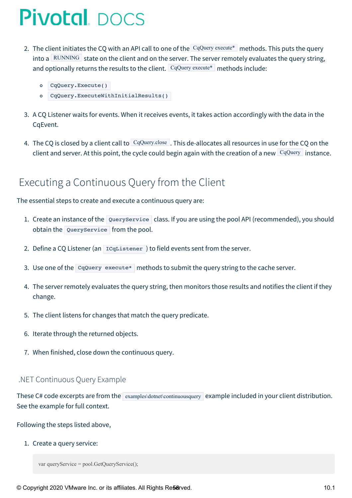- 2. The client initiates the CQ with an API call to one of the CqQuery execute\* methods. This puts the query into a RUNNING state on the client and on the server. The server remotely evaluates the query string, and optionally returns the results to the client. CqQuery execute\* methods include:
	- CqQuery.Execute()
	- CqQuery.ExecuteWithInitialResults()
- 3. A CQ Listener waits for events. When it receives events, it takes action accordingly with the data in the CqEvent.
- 4. The CQ is closed by a client call to CqQuery.close . This de-allocates all resources in use for the CQ on the client and server. At this point, the cycle could begin again with the creation of a new  $CqQuery$  instance.

### <span id="page-57-0"></span>Executing a Continuous Query from the Client

The essential steps to create and execute a continuous query are:

- 1. Create an instance of the QueryService class. If you are using the pool API (recommended), you should obtain the QueryService from the pool.
- 2. Define a CQ Listener (an  $|IGL$ istener ) to field events sent from the server.
- 3. Use one of the CqQuery execute\* methods to submit the query string to the cache server.
- 4. The server remotely evaluates the query string, then monitors those results and notifies the client if they change.
- 5. The client listens for changes that match the query predicate.
- 6. Iterate through the returned objects.
- 7. When finished, close down the continuous query.

#### <span id="page-57-1"></span>.NET Continuous Query Example

These C# code excerpts are from the examples\dotet\continuousquery example included in your client distribution. See the example for full context.

Following the steps listed above,

1. Create a query service:

```
var queryService = pool.GetQueryService();
```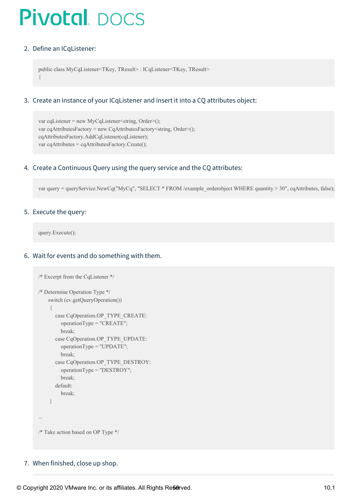#### 2. Define an ICqListener:

```
public class MyCqListener<TKey, TResult> : ICqListener<TKey, TResult>
{
```
#### 3. Create an instance of your ICqListener and insert it into a CQ attributes object:

```
var cqListener = new MyCqListener < string, Order > ();
var cqAttributesFactory = new CqAttributesFactory <string, Order > ();
cqAttributesFactory.AddCqListener(cqListener);
var cqAttributes = cqAttributesFactory.Create();
```
#### 4. Create a Continuous Query using the query service and the CQ attributes:

var query = queryService.NewCq("MyCq", "SELECT \* FROM /example\_orderobject WHERE quantity > 30", cqAttributes, false);

#### 5. Execute the query:

query.Execute();

#### 6. Wait for events and do something with them.

```
/* Excerpt from the CqListener */
/* Determine Operation Type */
    switch (ev.getQueryOperation())
    {
      case CqOperation.OP_TYPE_CREATE:
        operationType = "CREATE";
        break;
      case CqOperation.OP_TYPE_UPDATE:
        operationType = "UPDATE";
        break;
      case CqOperation.OP_TYPE_DESTROY:
        operationType = "DESTROY";
        break;
      default:
        break;
    }
...
/* Take action based on OP Type */
```
7. When finished, close up shop.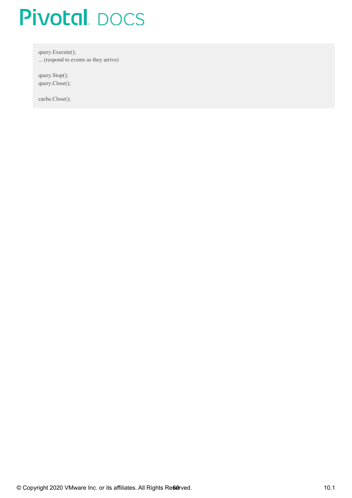query.Execute(); ... (respond to events as they arrive)

query.Stop(); query.Close();

cache.Close();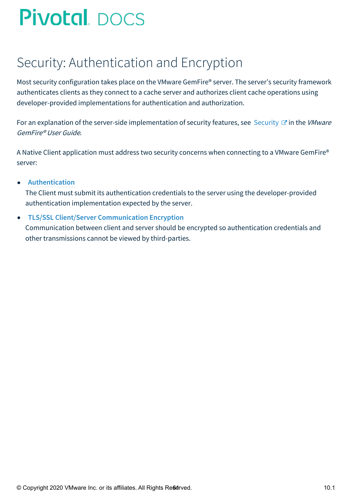## Security: Authentication and Encryption

Most security configuration takes place on the VMware GemFire® server. The server's security framework authenticates clients as they connect to a cache server and authorizes client cache operations using developer-provided implementations for authentication and authorization.

For an explanation of the server-side implementation of security features, see [Security](http://docs-gemfire-native-dotnet-staging.cfapps.io/101/geode-native-client-dotnet/security/geodeman/managing/security/chapter_overview.html)  $\mathbb{C}^n$  in the VMware GemFire® User Guide.

A Native Client application must address two security concerns when connecting to a VMware GemFire® server:

#### **[Authentication](#page-61-0)**  $\bullet$

The Client must submit its authentication credentials to the server using the developer-provided authentication implementation expected by the server.

#### **TLS/SSL Client/Server [Communication](#page-64-0) Encryption**  $\bullet$

Communication between client and server should be encrypted so authentication credentials and other transmissions cannot be viewed by third-parties.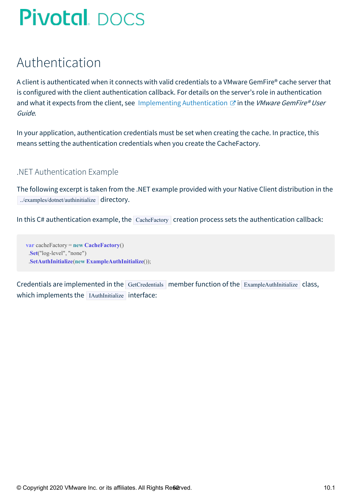## <span id="page-61-0"></span>Authentication

A client is authenticated when it connects with valid credentials to a VMware GemFire® cache server that is configured with the client authentication callback. For details on the server's role in authentication and what it expects from the client, see Implementing [Authentication](http://docs-gemfire-native-dotnet-staging.cfapps.io/101/geode-native-client-dotnet/security/geodeman/managing/security/implementing_authentication.html)  $\mathbb{Z}$  in the VMware GemFire® User Guide.

In your application, authentication credentials must be set when creating the cache. In practice, this means setting the authentication credentials when you create the CacheFactory.

#### .NET Authentication Example

The following excerpt is taken from the .NET example provided with your Native Client distribution in the ../examples/dotnet/authinitialize directory.

In this C# authentication example, the  $\vert$  CacheFactory creation process sets the authentication callback:

**var** cacheFactory = **new CacheFactory**() .**Set**("log-level", "none") .**SetAuthInitialize**(**new ExampleAuthInitialize**());

Credentials are implemented in the GetCredentials member function of the ExampleAuthInitialize class, which implements the IAuthInitialize interface: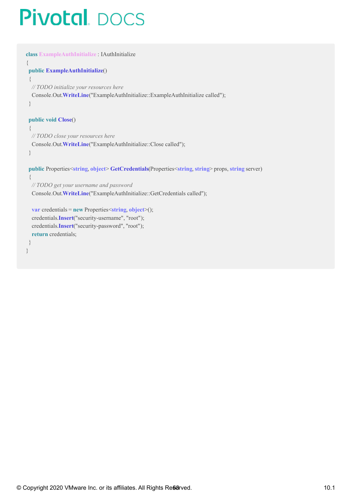```
class ExampleAuthInitialize : IAuthInitialize
{
 public ExampleAuthInitialize()
 {
  // TODO initialize your resources here
  Console.Out.WriteLine("ExampleAuthInitialize::ExampleAuthInitialize called");
 }
 public void Close()
 {
  // TODO close your resources here
  Console.Out.WriteLine("ExampleAuthInitialize::Close called");
 }
 public Properties<string, object> GetCredentials(Properties<string, string> props, string server)
 {
  // TODO get your username and password
  Console.Out.WriteLine("ExampleAuthInitialize::GetCredentials called");
  var credentials = new Properties<string, object>();
  credentials.Insert("security-username", "root");
  credentials.Insert("security-password", "root");
  return credentials;
```
}

}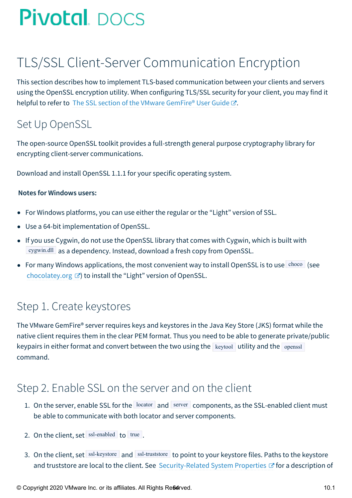## TLS/SSL Client-Server Communication Encryption

This section describes how to implement TLS-based communication between your clients and servers using the OpenSSL encryption utility. When configuring TLS/SSL security for your client, you may find it helpful to refer to The SSL section of the VMware [GemFire®](http://docs-gemfire-native-dotnet-staging.cfapps.io/101/geode-native-client-dotnet/security/serverman/managing/security/ssl_overview.html) User Guide  $\mathbb{Z}$ .

### Set Up OpenSSL

The open-source OpenSSL toolkit provides a full-strength general purpose cryptography library for encrypting client-server communications.

Download and install OpenSSL 1.1.1 for your specific operating system.

#### **Notes for Windows users:**

- For Windows platforms, you can use either the regular or the "Light" version of SSL.
- Use a 64-bit implementation of OpenSSL.
- If you use Cygwin, do not use the OpenSSL library that comes with Cygwin, which is built with cygwin.dll as a dependency. Instead, download a fresh copy from OpenSSL.
- For many Windows applications, the most convenient way to install OpenSSL is to use  $\frac{\text{choco}}{\text{see}}$  (see [chocolatey.org](https://chocolatey.org/packages/OpenSSL.Light)  $\mathbb{Z}$  to install the "Light" version of OpenSSL.

### Step 1. Create keystores

The VMware GemFire® server requires keys and keystores in the Java Key Store (JKS) format while the native client requires them in the clear PEM format. Thus you need to be able to generate private/public keypairs in either format and convert between the two using the  $\kappa$  keytool utility and the openssl command.

### Step 2. Enable SSL on the server and on the client

- 1. On the server, enable SSL for the  $\vert$  locator and server components, as the SSL-enabled client must be able to communicate with both locator and server components.
- 2. On the client, set  $\vert$  ssl-enabled to true.
- 3. On the client, set ssl-keystore and ssl-truststore to point to your keystore files. Paths to the keystore and truststore are local to the client. See [Security-Related](http://docs-gemfire-native-dotnet-staging.cfapps.io/101/geode-native-client-dotnet/security/security-systemprops.html#security) System Properties  $\mathbb{Z}^r$  for a description of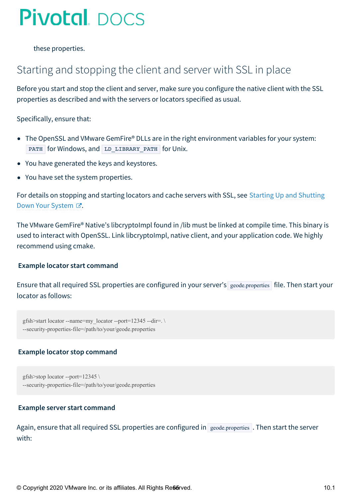<span id="page-64-0"></span>these properties.

### Starting and stopping the client and server with SSL in place

Before you start and stop the client and server, make sure you configure the native client with the SSL properties as described and with the servers or locators specified as usual.

Specifically, ensure that:

- The OpenSSL and VMware GemFire® DLLs are in the right environment variables for your system: PATH for Windows, and LD LIBRARY PATH for Unix.
- You have generated the keys and keystores.
- You have set the system properties.

For details on [stopping](http://docs-gemfire-native-dotnet-staging.cfapps.io/101/geode-native-client-dotnet/security/geodeman/configuring/running/starting_up_shutting_down.html) and starting locators and cache servers with SSL, see Starting Up and Shutting Down Your System  $\mathbb{Z}$ .

The VMware GemFire® Native's libcryptoImpl found in /lib must be linked at compile time. This binary is used to interact with OpenSSL. Link libcryptoImpl, native client, and your application code. We highly recommend using cmake.

#### **Example locator start command**

Ensure that all required SSL properties are configured in your server's geode.properties file. Then start your locator as follows:

```
gfsh>start locator --name=my_locator --port=12345 --dir=. \
--security-properties-file=/path/to/your/geode.properties
```
#### **Example locator stop command**

gfsh>stop locator --port=12345 \ --security-properties-file=/path/to/your/geode.properties

#### **Example server start command**

Again, ensure that all required SSL properties are configured in geode.properties . Then start the server with: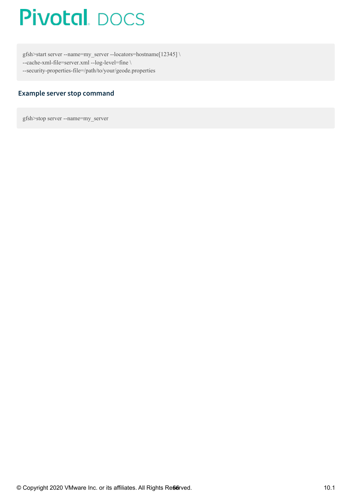gfsh>start server --name=my\_server --locators=hostname[12345] \ --cache-xml-file=server.xml --log-level=fine \ --security-properties-file=/path/to/your/geode.properties

#### **Example server stop command**

gfsh>stop server --name=my\_server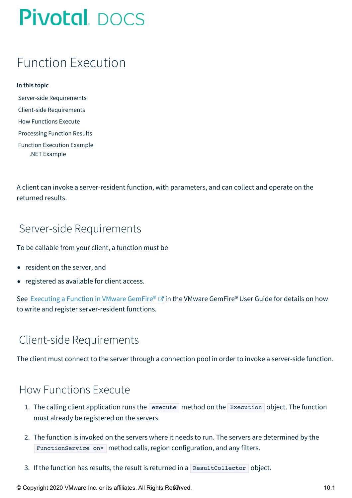## Function Execution

#### **In this topic**

Server-side [Requirements](#page-66-0) Client-side [Requirements](#page-66-1) How [Functions](#page-66-2) Execute [Processing](#page-67-0) Function Results Function [Execution](#page-68-0) Example .NET [Example](#page-68-1)

A client can invoke a server-resident function, with parameters, and can collect and operate on the returned results.

### <span id="page-66-0"></span>Server-side Requirements

To be callable from your client, a function must be

- resident on the server, and
- registered as available for client access.

See [Executing](http://docs-gemfire-native-dotnet-staging.cfapps.io/101/geode-native-client-dotnet/serverman/developing/function_exec/function_execution.html) a Function in VMware GemFire®  $\sigma$  in the VMware GemFire® User Guide for details on how to write and register server-resident functions.

### <span id="page-66-1"></span>Client-side Requirements

The client must connect to the server through a connection pool in order to invoke a server-side function.

### <span id="page-66-2"></span>How Functions Execute

- 1. The calling client application runs the execute method on the Execution object. The function must already be registered on the servers.
- 2. The function is invoked on the servers where it needs to run. The servers are determined by the FunctionService on\* method calls, region configuration, and any filters.
- 3. If the function has results, the result is returned in a ResultCollector object.

© Copyright 2020 VMware Inc. or its affiliates. All Rights Re6*e*Tved. 10.1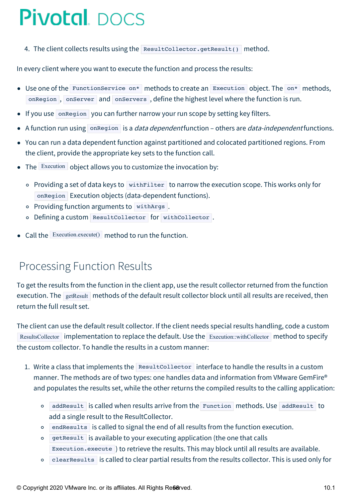4. The client collects results using the ResultCollector.getResult() method.

In every client where you want to execute the function and process the results:

- Use one of the FunctionService on\* methods to create an Execution object. The on\* methods, onRegion, onServer and onServers, define the highest level where the function is run.
- If you use onRegion you can further narrow your run scope by setting key filters.
- A function run using onRegion is a *data dependent* function others are *data-independent* functions.
- You can run a data dependent function against partitioned and colocated partitioned regions. From the client, provide the appropriate key sets to the function call.
- The Execution object allows you to customize the invocation by:
	- $\circ$  Providing a set of data keys to with Filter to narrow the execution scope. This works only for onRegion Execution objects (data-dependent functions).
	- o Providing function arguments to withArgs.
	- o Defining a custom ResultCollector for withCollector.
- Call the Execution.execute() method to run the function.

### <span id="page-67-0"></span>Processing Function Results

To get the results from the function in the client app, use the result collector returned from the function execution. The getResult methods of the default result collector block until all results are received, then return the full result set.

The client can use the default result collector. If the client needs special results handling, code a custom ResultsCollector implementation to replace the default. Use the Execution::withCollector method to specify the custom collector. To handle the results in a custom manner:

- 1. Write a class that implements the ResultCollector interface to handle the results in a custom manner. The methods are of two types: one handles data and information from VMware GemFire® and populates the results set, while the other returns the compiled results to the calling application:
	- addResult is called when results arrive from the Function methods. Use addResult to  $\Omega$ add a single result to the ResultCollector.
	- endResults is called to signal the end of all results from the function execution.
	- getResult is available to your executing application (the one that calls Execution.execute ) to retrieve the results. This may block until all results are available.
	- clearResults is called to clear partial results from the results collector. This is used only for  $\circ$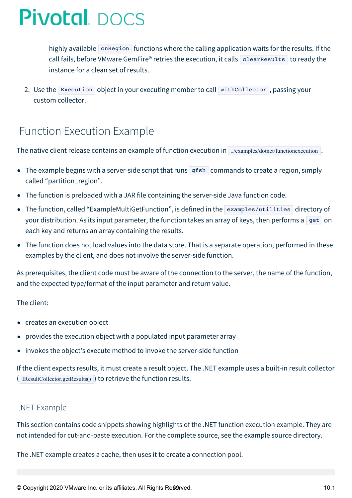highly available onRegion functions where the calling application waits for the results. If the call fails, before VMware GemFire® retries the execution, it calls clearResults to ready the instance for a clean set of results.

2. Use the Execution object in your executing member to call withCollector, passing your custom collector.

### <span id="page-68-0"></span>Function Execution Example

The native client release contains an example of function execution in ../examples/dotnet/functionexecution .

- The example begins with a server-side script that runs gfsh commands to create a region, simply called "partition\_region".
- The function is preloaded with a JAR file containing the server-side Java function code.
- The function, called "ExampleMultiGetFunction", is defined in the examples/utilities directory of your distribution. As its input parameter, the function takes an array of keys, then performs a get on each key and returns an array containing the results.
- The function does not load values into the data store. That is a separate operation, performed in these examples by the client, and does not involve the server-side function.

As prerequisites, the client code must be aware of the connection to the server, the name of the function, and the expected type/format of the input parameter and return value.

The client:

- creates an execution object
- provides the execution object with a populated input parameter array
- invokes the object's execute method to invoke the server-side function

If the client expects results, it must create a result object. The .NET example uses a built-in result collector ( IResultCollector.getResults() ) to retrieve the function results.

#### <span id="page-68-1"></span>.NET Example

This section contains code snippets showing highlights of the .NET function execution example. They are not intended for cut-and-paste execution. For the complete source, see the example source directory.

The .NET example creates a cache, then uses it to create a connection pool.

© Copyright 2020 VMware Inc. or its affiliates. All Rights Reserved. 10.1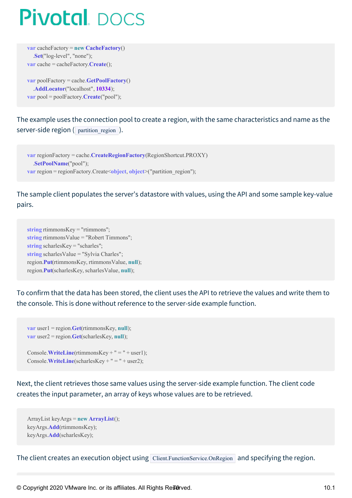```
var cacheFactory = new CacheFactory()
  .Set("log-level", "none");
var cache = cacheFactory.Create();
```
**var** poolFactory = cache.**GetPoolFactory**() .**AddLocator**("localhost", **10334**); **var** pool = poolFactory.**Create**("pool");

The example uses the connection pool to create a region, with the same characteristics and name as the server-side region ( partition region ).

**var** regionFactory = cache.**CreateRegionFactory**(RegionShortcut.PROXY) .**SetPoolName**("pool"); **var** region = regionFactory.Create<object, object>("partition region");

The sample client populates the server's datastore with values, using the API and some sample key-value pairs.

```
string rtimmonsKey = "rtimmons";
string rtimmonsValue = "Robert Timmons";
string scharlesKey = "scharles";
string scharlesValue = "Sylvia Charles";
region.Put(rtimmonsKey, rtimmonsValue, null);
region.Put(scharlesKey, scharlesValue, null);
```
To confirm that the data has been stored, the client uses the API to retrieve the values and write them to the console. This is done without reference to the server-side example function.

```
var user1 = region.Get(rtimmonsKey, null);
var user2 = region.Get(scharlesKey, null);
```

```
Console.WriteLine(rtimmonsKey + " = " + user1);Console.WriteLine(scharlesKey + " = " + user2);
```
Next, the client retrieves those same values using the server-side example function. The client code creates the input parameter, an array of keys whose values are to be retrieved.

```
ArrayList keyArgs = new ArrayList();
keyArgs.Add(rtimmonsKey);
keyArgs.Add(scharlesKey);
```
The client creates an execution object using Client.FunctionService.OnRegion and specifying the region.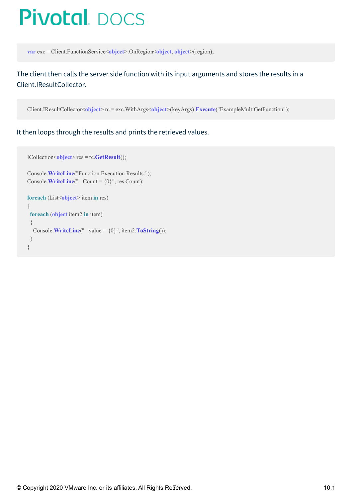**var** exc = Client.FunctionService<**object**>.OnRegion<**object**, **object**>(region);

The client then calls the server side function with its input arguments and stores the results in a Client.IResultCollector.

Client.IResultCollector<**object**> rc = exc.WithArgs<**object**>(keyArgs).**Execute**("ExampleMultiGetFunction");

It then loops through the results and prints the retrieved values.

```
ICollection<object> res = rc.GetResult();
Console.WriteLine("Function Execution Results:");
Console.WriteLine(" Count = {0}", res.Count);
foreach (List<object> item in res)
{
 foreach (object item2 in item)
 {
  Console.WriteLine(" value = \{0\}", item2.ToString());
 }
}
```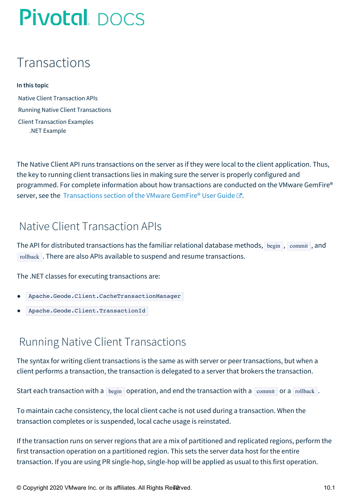## Transactions

#### **In this topic**

Native Client [Transaction](#page-71-0) APIs Running Native Client [Transactions](#page-71-1) Client [Transaction](#page-72-0) Examples .NET [Example](#page-72-1)

The Native Client API runs transactions on the server as if they were local to the client application. Thus, the key to running client transactions lies in making sure the server is properly configured and programmed. For complete information about how transactions are conducted on the VMware GemFire® server, see the [Transactions](http://docs-gemfire-native-dotnet-staging.cfapps.io/101/geode-native-client-dotnet/geodeman/developing/transactions/chapter_overview.html) section of the VMware GemFire® User Guide C.

### <span id="page-71-0"></span>Native Client Transaction APIs

The API for distributed transactions has the familiar relational database methods, begin, commit, and rollback . There are also APIs available to suspend and resume transactions.

The .NET classes for executing transactions are:

- Apache.Geode.Client.CacheTransactionManager
- Apache.Geode.Client.TransactionId

### <span id="page-71-1"></span>Running Native Client Transactions

The syntax for writing client transactions is the same as with server or peer transactions, but when a client performs a transaction, the transaction is delegated to a server that brokers the transaction.

Start each transaction with a begin operation, and end the transaction with a commit or a rollback.

To maintain cache consistency, the local client cache is not used during a transaction. When the transaction completes or is suspended, local cache usage is reinstated.

If the transaction runs on server regions that are a mix of partitioned and replicated regions, perform the first transaction operation on a partitioned region. This sets the server data host for the entire transaction. If you are using PR single-hop, single-hop will be applied as usual to this first operation.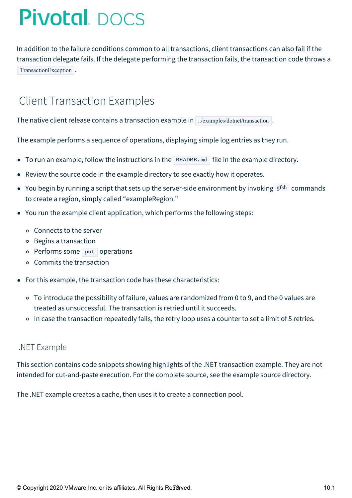In addition to the failure conditions common to all transactions, client transactions can also fail if the transaction delegate fails. If the delegate performing the transaction fails, the transaction code throws a TransactionException .

## Client Transaction Examples

The native client release contains a transaction example in ../examples/dotnet/transaction .

The example performs a sequence of operations, displaying simple log entries as they run.

- To run an example, follow the instructions in the  $REDME$ . And file in the example directory.
- Review the source code in the example directory to see exactly how it operates.
- You begin by running a script that sets up the server-side environment by invoking  $gfsh$  commands to create a region, simply called "exampleRegion."
- You run the example client application, which performs the following steps:
	- Connects to the server
	- Begins a transaction
	- o Performs some put operations
	- Commits the transaction
- For this example, the transaction code has these characteristics:
	- To introduce the possibility of failure, values are randomized from 0 to 9, and the 0 values are treated as unsuccessful. The transaction is retried until it succeeds.
	- o In case the transaction repeatedly fails, the retry loop uses a counter to set a limit of 5 retries.

### .NET Example

This section contains code snippets showing highlights of the .NET transaction example. They are not intended for cut-and-paste execution. For the complete source, see the example source directory.

The .NET example creates a cache, then uses it to create a connection pool.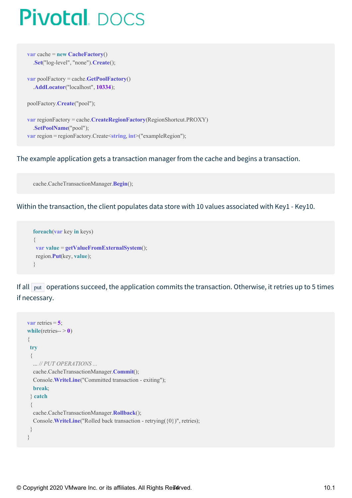**var** cache = **new CacheFactory**() .**Set**("log-level", "none").**Create**();

**var** poolFactory = cache.**GetPoolFactory**() .**AddLocator**("localhost", **10334**);

poolFactory.**Create**("pool");

**var** regionFactory = cache.**CreateRegionFactory**(RegionShortcut.PROXY) .**SetPoolName**("pool"); **var** region = regionFactory.Create<**string**, **int**>("exampleRegion");

#### The example application gets a transaction manager from the cache and begins a transaction.

cache.CacheTransactionManager.**Begin**();

Within the transaction, the client populates data store with 10 values associated with Key1 - Key10.

```
foreach(var key in keys)
{
var value = getValueFromExternalSystem();
region.Put(key, value);
}
```
If all  $\lceil$  put operations succeed, the application commits the transaction. Otherwise, it retries up to 5 times if necessary.

```
var retries = 5;
while(retries-> 0)
{
 try
 {
  ... // PUT OPERATIONS ...
  cache.CacheTransactionManager.Commit();
  Console.WriteLine("Committed transaction - exiting");
  break;
 } catch
 {
  cache.CacheTransactionManager.Rollback();
  Console.WriteLine("Rolled back transaction - retrying({0})", retries);
 }
}
```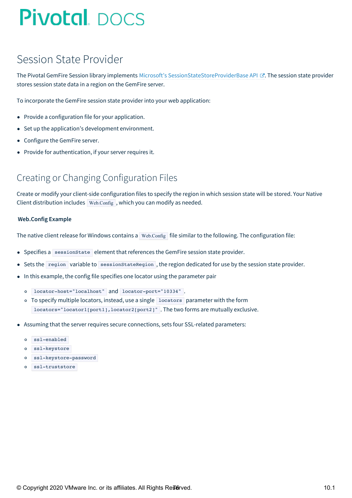## Session State Provider

The Pivotal GemFire Session library implements Microsoft's [SessionStateStoreProviderBase](https://msdn.microsoft.com/en-us/library/system.web.sessionstate.sessionstatestoreproviderbase(v=vs.110).aspx) API & The session state provider stores session state data in a region on the GemFire server.

To incorporate the GemFire session state provider into your web application:

- Provide a configuration file for your application.
- Set up the application's development environment.
- Configure the GemFire server.  $\bullet$
- Provide for authentication, if your server requires it.  $\bullet$

### Creating or Changing Configuration Files

Create or modify your client-side configuration files to specify the region in which session state will be stored. Your Native Client distribution includes  $Web.Config$ , which you can modify as needed.

#### **Web.Config Example**

The native client release for Windows contains a Web.Config file similar to the following. The configuration file:

- Specifies a sessionState element that references the GemFire session state provider.
- Sets the region variable to sessionStateRegion, the region dedicated for use by the session state provider.  $\bullet$
- In this example, the config file specifies one locator using the parameter pair
	- locator-host="localhost" and locator-port="10334" .
	- o To specify multiple locators, instead, use a single locators parameter with the form locators="locator1[port1], locator2[port2]". The two forms are mutually exclusive.
- Assuming that the server requires secure connections, sets four SSL-related parameters:
	- ssl-enabled
	- ssl-keystore
	- ssl-keystore-password
	- ssl-truststore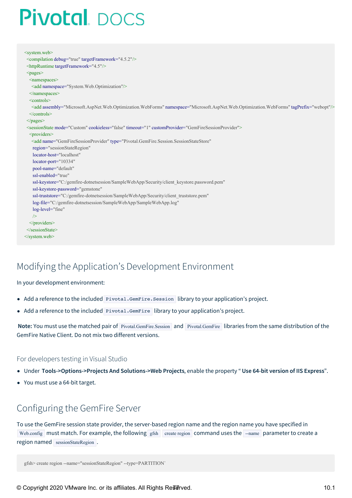```
<system.web>
<compilation debug="true" targetFramework="4.5.2"/>
<httpRuntime targetFramework="4.5"/>
<pages><namespaces>
  <add namespace="System.Web.Optimization"/>
  </namespaces>
  <controls>
  <add assembly="Microsoft.AspNet.Web.Optimization.WebForms" namespace="Microsoft.AspNet.Web.Optimization.WebForms" tagPrefix="webopt"/>
  </controls>
<\langlepages><sessionState mode="Custom" cookieless="false" timeout="1" customProvider="GemFireSessionProvider">
  <providers>
   <add name="GemFireSessionProvider" type="Pivotal.GemFire.Session.SessionStateStore"
   region="sessionStateRegion"
   locator-host="localhost"
   locator-port="10334"
   pool-name="default"
   ssl-enabled="true"
   ssl-keystore="C:/gemfire-dotnetsession/SampleWebApp/Security/client_keystore.password.pem"
   ssl-keystore-password="gemstone"
   ssl-truststore="C:/gemfire-dotnetsession/SampleWebApp/Security/client_truststore.pem"
   log-file="C:/gemfire-dotnetsession/SampleWebApp/SampleWebApp.log"
   log-level="fine"
   />
  </providers>
</sessionState>
</system.web>
```
### Modifying the Application's Development Environment

#### In your development environment:

- Add a reference to the included Pivotal.GemFire.Session library to your application's project.
- Add a reference to the included Pivotal.GemFire library to your application's project.

**Note:** You must use the matched pair of Pivotal.GemFire.Session and Pivotal.GemFire libraries from the same distribution of the GemFire Native Client. Do not mix two different versions.

#### For developers testing in Visual Studio

- Under **Tools->Options->Projects And Solutions->Web Projects**, enable the property " **Use 64-bit version of IIS Express**".
- You must use a 64-bit target.

### Configuring the GemFire Server

To use the GemFire session state provider, the server-based region name and the region name you have specified in Web.config must match. For example, the following gfsh create region command uses the --name parameter to create a region named sessionStateRegion.

```
gfsh> create region --name="sessionStateRegion" --type=PARTITION`
```
© Copyright 2020 VMware Inc. or its affiliates. All Rights Re $\vec{a}$  Reved. 10.1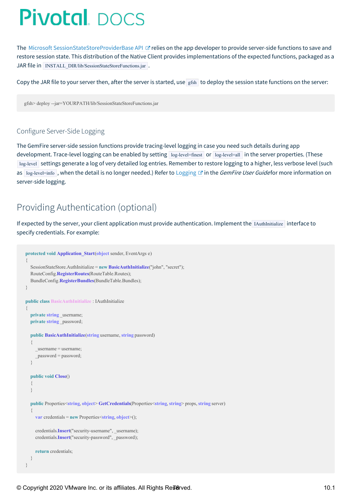The Microsoft [SessionStateStoreProviderBase](https://msdn.microsoft.com/en-us/library/system.web.sessionstate.sessionstatestoreproviderbase(v=vs.110).aspx) API & relies on the app developer to provide server-side functions to save and restore session state. This distribution of the Native Client provides implementations of the expected functions, packaged as a JAR file in INSTALL\_DIR/lib/SessionStateStoreFunctions.jar .

Copy the JAR file to your server then, after the server is started, use gfsh to deploy the session state functions on the server:

gfsh> deploy --jar=YOURPATH/lib/SessionStateStoreFunctions.jar

#### Configure Server-Side Logging

The GemFire server-side session functions provide tracing-level logging in case you need such details during app development. Trace-level logging can be enabled by setting log-level=finest or log-level=all in the server properties. (These log-level settings generate a log of very detailed log entries. Remember to restore logging to a higher, less verbose level (such as  $\log$ -level=info, when the detail is no longer needed.) Refer to [Logging](http://docs-gemfire-native-dotnet-staging.cfapps.io/101/gemfire-native-client-ssp/serverman/managing/logging/logging.html)  $\mathbb{Z}$  in the *GemFire User Guidefor* more information on server-side logging.

### Providing Authentication (optional)

If expected by the server, your client application must provide authentication. Implement the IAuthInitialize interface to specify credentials. For example:

```
protected void Application_Start(object sender, EventArgs e)
{
  SessionStateStore.AuthInitialize = new BasicAuthInitialize("john", "secret");
  RouteConfig.RegisterRoutes(RouteTable.Routes);
  BundleConfig.RegisterBundles(BundleTable.Bundles);
}
public class BasicAuthInitialize : IAuthInitialize
{
  private string _username;
  private string password;
  public BasicAuthInitialize(string username, string password)
  {
     _username = username;
     _password = password;
  }
  public void Close()
  {
  }
  public Properties<string, object> GetCredentials(Properties<string, string> props, string server)
  {
     var credentials = new Properties<string, object>();
     credentials.Insert("security-username", username);
     credentials.Insert("security-password", _password);
     return credentials;
  }
}
```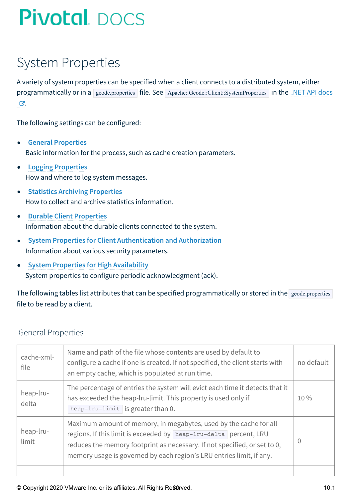## System Properties

A variety of system properties can be specified when a client connects to a distributed system, either programmatically or in a geode.properties file. See [Apache::Geode::Client::SystemProperties](http://docs-gemfire-native-dotnet-staging.cfapps.io/101/geode-native-client-dotnet/configuring/dotnetdocs) in the .NET API docs ය.

The following settings can be configured:

- **General [Properties](#page-79-0)**  $\bullet$ Basic information for the process, such as cache creation parameters.
- **Logging [Properties](#page-80-0)** How and where to log system messages.
- **Statistics Archiving [Properties](#page-81-0)** How to collect and archive statistics information.
- $\bullet$ **Durable Client [Properties](#page-82-0)** Information about the durable clients connected to the system.
- **System Properties for Client [Authentication](#page-82-1) and Authorization** Information about various security parameters.
- **System Properties for High [Availability](#page-83-0)**  $\bullet$ System properties to configure periodic acknowledgment (ack).

The following tables list attributes that can be specified programmatically or stored in the geode.properties file to be read by a client.

### <span id="page-79-0"></span>General Properties

| cache-xml-<br>file | Name and path of the file whose contents are used by default to<br>configure a cache if one is created. If not specified, the client starts with<br>an empty cache, which is populated at run time.                                                                                         |  |
|--------------------|---------------------------------------------------------------------------------------------------------------------------------------------------------------------------------------------------------------------------------------------------------------------------------------------|--|
| heap-lru-<br>delta | The percentage of entries the system will evict each time it detects that it<br>has exceeded the heap-lru-limit. This property is used only if<br>heap-lru-limit is greater than 0.                                                                                                         |  |
| heap-lru-<br>limit | Maximum amount of memory, in megabytes, used by the cache for all<br>regions. If this limit is exceeded by heap-lru-delta percent, LRU<br>reduces the memory footprint as necessary. If not specified, or set to 0,<br>memory usage is governed by each region's LRU entries limit, if any. |  |
|                    |                                                                                                                                                                                                                                                                                             |  |

© Copyright 2020 VMware Inc. or its affiliates. All Rights Re80rved.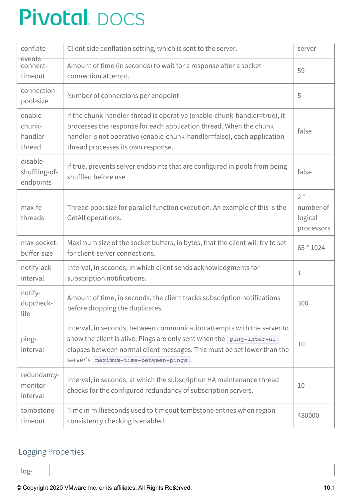| conflate-                               | Client side conflation setting, which is sent to the server.                                                                                                                                                                                                       |                                             |
|-----------------------------------------|--------------------------------------------------------------------------------------------------------------------------------------------------------------------------------------------------------------------------------------------------------------------|---------------------------------------------|
| events<br>connect-<br>timeout           | Amount of time (in seconds) to wait for a response after a socket<br>connection attempt.                                                                                                                                                                           | 59                                          |
| connection-<br>pool-size                | Number of connections per endpoint                                                                                                                                                                                                                                 | 5                                           |
| enable-<br>chunk-<br>handler-<br>thread | If the chunk-handler-thread is operative (enable-chunk-handler=true), it<br>processes the response for each application thread. When the chunk<br>handler is not operative (enable-chunk-handler=false), each application<br>thread processes its own response.    | false                                       |
| disable-<br>shuffling-of-<br>endpoints  | If true, prevents server endpoints that are configured in pools from being<br>shuffled before use.                                                                                                                                                                 | false                                       |
| max-fe-<br>threads                      | Thread pool size for parallel function execution. An example of this is the<br>GetAll operations.                                                                                                                                                                  | $2^*$<br>number of<br>logical<br>processors |
| max-socket-<br>buffer-size              | Maximum size of the socket buffers, in bytes, that the client will try to set<br>for client-server connections.                                                                                                                                                    | 65 * 1024                                   |
| notify-ack-<br>interval                 | Interval, in seconds, in which client sends acknowledgments for<br>subscription notifications.                                                                                                                                                                     | 1                                           |
| notify-<br>dupcheck-<br>life            | Amount of time, in seconds, the client tracks subscription notifications<br>before dropping the duplicates.                                                                                                                                                        | 300                                         |
| ping-<br>interval                       | Interval, in seconds, between communication attempts with the server to<br>show the client is alive. Pings are only sent when the ping-interval<br>elapses between normal client messages. This must be set lower than the<br>server's maximum-time-between-pings. | 10                                          |
| redundancy-<br>monitor-<br>interval     | Interval, in seconds, at which the subscription HA maintenance thread<br>checks for the configured redundancy of subscription servers.                                                                                                                             | 10                                          |
| tombstone-<br>timeout                   | Time in milliseconds used to timeout tombstone entries when region<br>consistency checking is enabled.                                                                                                                                                             | 480000                                      |

### <span id="page-80-0"></span>Logging Properties

log-

© Copyright 2020 VMware Inc. or its affiliates. All Rights Re8drved. 10.1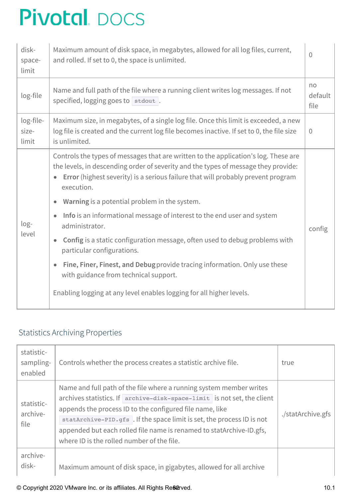| disk-<br>space-<br>limit    | Maximum amount of disk space, in megabytes, allowed for all log files, current,<br>and rolled. If set to 0, the space is unlimited.                                                                                                                                         | $\Omega$              |
|-----------------------------|-----------------------------------------------------------------------------------------------------------------------------------------------------------------------------------------------------------------------------------------------------------------------------|-----------------------|
| log-file                    | Name and full path of the file where a running client writes log messages. If not<br>specified, logging goes to stdout.                                                                                                                                                     | no<br>default<br>file |
| log-file-<br>size-<br>limit | Maximum size, in megabytes, of a single log file. Once this limit is exceeded, a new<br>log file is created and the current log file becomes inactive. If set to 0, the file size<br>is unlimited.                                                                          | $\overline{0}$        |
|                             | Controls the types of messages that are written to the application's log. These are<br>the levels, in descending order of severity and the types of message they provide:<br>Error (highest severity) is a serious failure that will probably prevent program<br>execution. |                       |
|                             | Warning is a potential problem in the system.<br>$\bullet$                                                                                                                                                                                                                  |                       |
| $log-$<br>level             | Info is an informational message of interest to the end user and system<br>$\bullet$<br>administrator.                                                                                                                                                                      | config                |
|                             | Config is a static configuration message, often used to debug problems with<br>$\bullet$<br>particular configurations.                                                                                                                                                      |                       |
|                             | Fine, Finer, Finest, and Debug provide tracing information. Only use these<br>with guidance from technical support.                                                                                                                                                         |                       |
|                             | Enabling logging at any level enables logging for all higher levels.                                                                                                                                                                                                        |                       |

### <span id="page-81-0"></span>Statistics Archiving Properties

| statistic-<br>sampling-<br>enabled | Controls whether the process creates a statistic archive file.                                                                                                                                                                                                                                                                                                                                            | true              |
|------------------------------------|-----------------------------------------------------------------------------------------------------------------------------------------------------------------------------------------------------------------------------------------------------------------------------------------------------------------------------------------------------------------------------------------------------------|-------------------|
| statistic-<br>archive-<br>file     | Name and full path of the file where a running system member writes<br>archives statistics. If archive-disk-space-limit is not set, the client<br>appends the process ID to the configured file name, like<br>statArchive-PID.gfs. If the space limit is set, the process ID is not<br>appended but each rolled file name is renamed to statArchive-ID.gfs,<br>where ID is the rolled number of the file. | ./statArchive.gfs |
| archive-<br>disk-                  | Maximum amount of disk space, in gigabytes, allowed for all archive                                                                                                                                                                                                                                                                                                                                       |                   |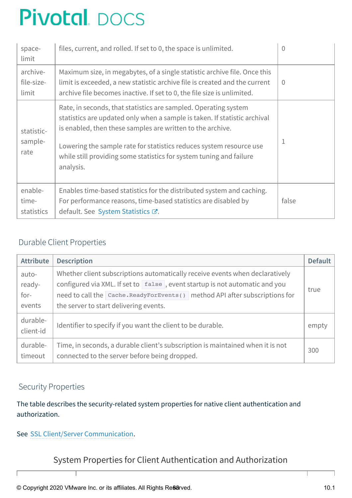| space-<br>limit                 | files, current, and rolled. If set to 0, the space is unlimited.                                                                                                                                                                                                                                                                                                      | 0        |
|---------------------------------|-----------------------------------------------------------------------------------------------------------------------------------------------------------------------------------------------------------------------------------------------------------------------------------------------------------------------------------------------------------------------|----------|
| archive-<br>file-size-<br>limit | Maximum size, in megabytes, of a single statistic archive file. Once this<br>limit is exceeded, a new statistic archive file is created and the current<br>archive file becomes inactive. If set to 0, the file size is unlimited.                                                                                                                                    | $\Omega$ |
| statistic-<br>sample-<br>rate   | Rate, in seconds, that statistics are sampled. Operating system<br>statistics are updated only when a sample is taken. If statistic archival<br>is enabled, then these samples are written to the archive.<br>Lowering the sample rate for statistics reduces system resource use<br>while still providing some statistics for system tuning and failure<br>analysis. |          |
| enable-<br>time-<br>statistics  | Enables time-based statistics for the distributed system and caching.<br>For performance reasons, time-based statistics are disabled by<br>default. See System Statistics &.                                                                                                                                                                                          | false    |

### <span id="page-82-0"></span>Durable Client Properties

| <b>Attribute</b>                    | <b>Description</b>                                                                                                                                                                                                                                                                     | <b>Default</b> |
|-------------------------------------|----------------------------------------------------------------------------------------------------------------------------------------------------------------------------------------------------------------------------------------------------------------------------------------|----------------|
| auto-<br>ready-<br>$for-$<br>events | Whether client subscriptions automatically receive events when declaratively<br>configured via XML. If set to [false], event startup is not automatic and you<br>need to call the Cache. ReadyForEvents() method API after subscriptions for<br>the server to start delivering events. | true           |
| durable-                            | Identifier to specify if you want the client to be durable.                                                                                                                                                                                                                            |                |
| client-id                           | empty                                                                                                                                                                                                                                                                                  |                |
| durable-                            | Time, in seconds, a durable client's subscription is maintained when it is not                                                                                                                                                                                                         |                |
| timeout                             | connected to the server before being dropped.                                                                                                                                                                                                                                          |                |

### <span id="page-82-1"></span>Security Properties

The table describes the security-related system properties for native client authentication and authorization.

See SSL Client/Server [Communication](#page-64-0).

System Properties for Client Authentication and Authorization

© Copyright 2020 VMware Inc. or its affiliates. All Rights Re88rved. 10.1

т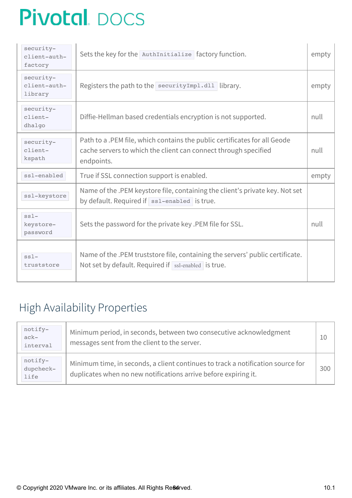| security-<br>client-auth-<br>factory | Sets the key for the AuthInitialize factory function.                                                                                                      | empty |
|--------------------------------------|------------------------------------------------------------------------------------------------------------------------------------------------------------|-------|
| security-<br>client-auth-<br>library | Registers the path to the security Impl.dll library.                                                                                                       | empty |
| security-<br>client-<br>dhalgo       | Diffie-Hellman based credentials encryption is not supported.                                                                                              | null  |
| security-<br>client-<br>kspath       | Path to a .PEM file, which contains the public certificates for all Geode<br>cache servers to which the client can connect through specified<br>endpoints. | null  |
| ssl-enabled                          | True if SSL connection support is enabled.                                                                                                                 | empty |
| ssl-keystore                         | Name of the .PEM keystore file, containing the client's private key. Not set<br>by default. Required if $ $ ss1-enabled is true.                           |       |
| $ss1-$<br>keystore-<br>password      | Sets the password for the private key .PEM file for SSL.                                                                                                   | null  |
| $ss1-$<br>truststore                 | Name of the .PEM truststore file, containing the servers' public certificate.<br>Not set by default. Required if ssl-enabled is true.                      |       |

## <span id="page-83-0"></span>High Availability Properties

| notify-<br>$ack-$<br>interval | Minimum period, in seconds, between two consecutive acknowledgment<br>messages sent from the client to the server.                                 | 10  |
|-------------------------------|----------------------------------------------------------------------------------------------------------------------------------------------------|-----|
| notify-<br>dupcheck-<br>life  | Minimum time, in seconds, a client continues to track a notification source for<br>duplicates when no new notifications arrive before expiring it. | 300 |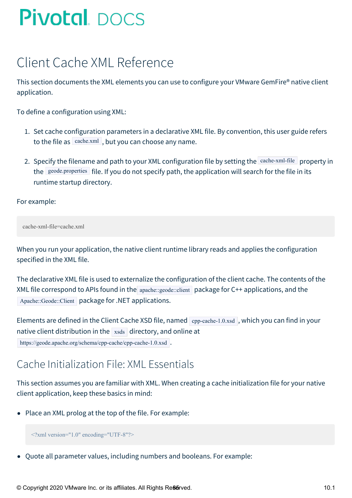## Client Cache XML Reference

This section documents the XML elements you can use to configure your VMware GemFire® native client application.

To define a configuration using XML:

- 1. Set cache configuration parameters in a declarative XML file. By convention, this user guide refers to the file as  $\vert$  cache.xml, but you can choose any name.
- 2. Specify the filename and path to your XML configuration file by setting the cache-xml-file property in the geode.properties file. If you do not specify path, the application will search for the file in its runtime startup directory.

For example:

cache-xml-file=cache.xml

When you run your application, the native client runtime library reads and applies the configuration specified in the XML file.

The declarative XML file is used to externalize the configuration of the client cache. The contents of the XML file correspond to APIs found in the  $apache::geode::client$  package for C++ applications, and the Apache::Geode::Client package for .NET applications.

Elements are defined in the Client Cache XSD file, named  $\epsilon_{\text{pp-cache-1.0.xsd}}$ , which you can find in your native client distribution in the  $x_{\text{ssds}}$  directory, and online at

https://geode.apache.org/schema/cpp-cache/cpp-cache-1.0.xsd .

## Cache Initialization File: XML Essentials

This section assumes you are familiar with XML. When creating a cache initialization file for your native client application, keep these basics in mind:

• Place an XML prolog at the top of the file. For example:

<?xml version="1.0" encoding="UTF-8"?>

Quote all parameter values, including numbers and booleans. For example:

© Copyright 2020 VMware Inc. or its affiliates. All Rights Re**86**rved. 10.1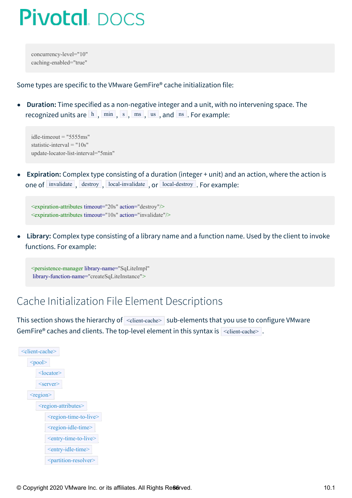concurrency-level="10" caching-enabled="true"

Some types are specific to the VMware GemFire® cache initialization file:

**Duration:** Time specified as a non-negative integer and a unit, with no intervening space. The  $\bullet$ recognized units are  $\lfloor h \rfloor$ ,  $\lfloor h \rfloor$ ,  $\lfloor h \rfloor$ ,  $\lfloor h \rfloor$ ,  $\lfloor h \rfloor$ ,  $\lfloor h \rfloor$ ,  $\lfloor h \rfloor$ ,  $\lfloor h \rfloor$ ,  $\lfloor h \rfloor$ ,  $\lfloor h \rfloor$ ,  $\lfloor h \rfloor$ ,  $\lfloor h \rfloor$ ,  $\lfloor h \rfloor$ ,  $\lfloor h \rfloor$ ,  $\lfloor h \rfloor$ ,  $\lfloor h \rfloor$ ,  $\lfloor h \rfloor$ ,  $\lfloor h \rfloor$ ,  $\$ 

 $idle$ -timeout = "5555ms" statistic-interval = "10s" update-locator-list-interval="5min"

**Expiration:** Complex type consisting of a duration (integer + unit) and an action, where the action is one of invalidate, destroy, local-invalidate, or local-destroy. For example:

<expiration-attributes timeout="20s" action="destroy"/> <expiration-attributes timeout="10s" action="invalidate"/>

**Library:** Complex type consisting of a library name and a function name. Used by the client to invoke functions. For example:

<persistence-manager library-name="SqLiteImpl" library-function-name="createSqLiteInstance">

## Cache Initialization File Element Descriptions

This section shows the hierarchy of  $\leq$  client-cache> sub-elements that you use to configure VMware GemFire® caches and clients. The top-level element in this syntax is  $\vert$  <client-cache>.

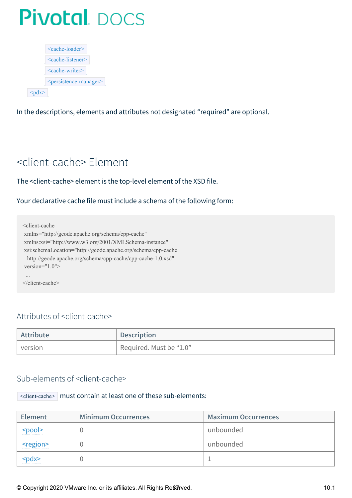| $\leq$ cache-loader $\geq$                  |
|---------------------------------------------|
| $\leq$ cache-listener $\geq$                |
| $\leq$ cache-writer $\geq$                  |
| <persistence-manager></persistence-manager> |
|                                             |

<span id="page-86-0"></span>In the descriptions, elements and attributes not designated "required" are optional.

## <client-cache> Element

The <client-cache> element is the top-level element of the XSD file.

Your declarative cache file must include a schema of the following form:

<client-cache xmlns="http://geode.apache.org/schema/cpp-cache" xmlns:xsi="http://www.w3.org/2001/XMLSchema-instance" xsi:schemaLocation="http://geode.apache.org/schema/cpp-cache http://geode.apache.org/schema/cpp-cache/cpp-cache-1.0.xsd" version="1.0"> ... </client-cache>

### Attributes of <client-cache>

| Attribute | <b>Description</b>      |
|-----------|-------------------------|
| version   | Required. Must be "1.0" |

### Sub-elements of <client-cache>

### <client-cache> must contain at least one of these sub-elements:

| <b>Element</b>                   | <b>Minimum Occurrences</b> | <b>Maximum Occurrences</b> |
|----------------------------------|----------------------------|----------------------------|
| $<$ nool $>$                     |                            | ' unbounded                |
| <region></region>                |                            | unbounded                  |
| sndx><br><u>. <del>.</del></u> . |                            |                            |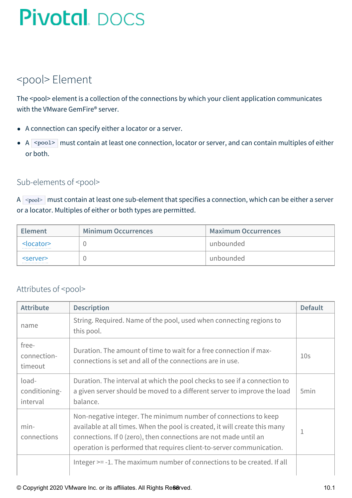## <span id="page-87-0"></span><pool> Element

The <pool> element is a collection of the connections by which your client application communicates with the VMware GemFire® server.

- A connection can specify either a locator or a server.
- $\bullet$  A  $\leq$   $\sim$   $\sim$  must contain at least one connection, locator or server, and can contain multiples of either or both.

### Sub-elements of <pool>

A  $\sim$ pool> must contain at least one sub-element that specifies a connection, which can be either a server or a locator. Multiples of either or both types are permitted.

| <b>Element</b>      | <b>Minimum Occurrences</b> | <b>Maximum Occurrences</b> |
|---------------------|----------------------------|----------------------------|
| <locator></locator> |                            | ` unbounded                |
| <server></server>   |                            | unbounded                  |

### Attributes of <pool>

| <b>Attribute</b>                   | <b>Description</b>                                                                                                                                                                                                                                                                        | <b>Default</b>   |
|------------------------------------|-------------------------------------------------------------------------------------------------------------------------------------------------------------------------------------------------------------------------------------------------------------------------------------------|------------------|
| name                               | String. Required. Name of the pool, used when connecting regions to<br>this pool.                                                                                                                                                                                                         |                  |
| free-<br>connection-<br>timeout    | Duration. The amount of time to wait for a free connection if max-<br>connections is set and all of the connections are in use.                                                                                                                                                           | 10 <sub>S</sub>  |
| load-<br>conditioning-<br>interval | Duration. The interval at which the pool checks to see if a connection to<br>a given server should be moved to a different server to improve the load<br>balance.                                                                                                                         | 5 <sub>min</sub> |
| $min-$<br>connections              | Non-negative integer. The minimum number of connections to keep<br>available at all times. When the pool is created, it will create this many<br>connections. If 0 (zero), then connections are not made until an<br>operation is performed that requires client-to-server communication. | 1                |
|                                    | Integer >= -1. The maximum number of connections to be created. If all                                                                                                                                                                                                                    |                  |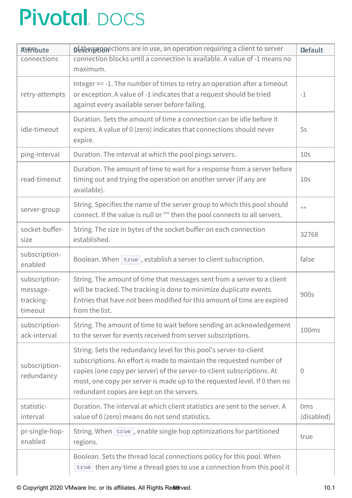| Attribute                                         | Deterion between the use, an operation requiring a client to server                                                                                                                                                                                                                                                                            | <b>Default</b>                |  |
|---------------------------------------------------|------------------------------------------------------------------------------------------------------------------------------------------------------------------------------------------------------------------------------------------------------------------------------------------------------------------------------------------------|-------------------------------|--|
| connections                                       | connection blocks until a connection is available. A value of -1 means no<br>maximum.                                                                                                                                                                                                                                                          |                               |  |
| retry-attempts                                    | Integer >= -1. The number of times to retry an operation after a timeout<br>or exception. A value of -1 indicates that a request should be tried<br>$-1$<br>against every available server before failing.                                                                                                                                     |                               |  |
| idle-timeout                                      | Duration. Sets the amount of time a connection can be idle before it<br>expires. A value of 0 (zero) indicates that connections should never<br>expire.                                                                                                                                                                                        | 5s                            |  |
| ping-interval                                     | Duration. The interval at which the pool pings servers.                                                                                                                                                                                                                                                                                        | 10 <sub>S</sub>               |  |
| read-timeout                                      | Duration. The amount of time to wait for a response from a server before<br>timing out and trying the operation on another server (if any are<br>available).                                                                                                                                                                                   | 10 <sub>S</sub>               |  |
| server-group                                      | String. Specifies the name of the server group to which this pool should<br>connect. If the value is null or "" then the pool connects to all servers.                                                                                                                                                                                         | 1111                          |  |
| socket-buffer-<br>size                            | String. The size in bytes of the socket buffer on each connection<br>established.                                                                                                                                                                                                                                                              | 32768                         |  |
| subscription-<br>enabled                          | Boolean. When $ \text{true} $ , establish a server to client subscription.                                                                                                                                                                                                                                                                     | false                         |  |
| subscription-<br>message-<br>tracking-<br>timeout | String. The amount of time that messages sent from a server to a client<br>will be tracked. The tracking is done to minimize duplicate events.<br>Entries that have not been modified for this amount of time are expired<br>from the list.                                                                                                    | 900s                          |  |
| subscription-<br>ack-interval                     | String. The amount of time to wait before sending an acknowledgement<br>to the server for events received from server subscriptions.                                                                                                                                                                                                           | 100ms                         |  |
| subscription-<br>redundancy                       | String. Sets the redundancy level for this pool's server-to-client<br>subscriptions. An effort is made to maintain the requested number of<br>copies (one copy per server) of the server-to-client subscriptions. At<br>most, one copy per server is made up to the requested level. If 0 then no<br>redundant copies are kept on the servers. | $\left( \right)$              |  |
| statistic-<br>interval                            | Duration. The interval at which client statistics are sent to the server. A<br>value of 0 (zero) means do not send statistics.                                                                                                                                                                                                                 | 0 <sub>ms</sub><br>(disabled) |  |
| pr-single-hop-<br>enabled                         | String. When $ \text{true} $ , enable single hop optimizations for partitioned<br>regions.                                                                                                                                                                                                                                                     | true                          |  |
|                                                   | Boolean. Sets the thread local connections policy for this pool. When<br>true then any time a thread goes to use a connection from this pool it                                                                                                                                                                                                |                               |  |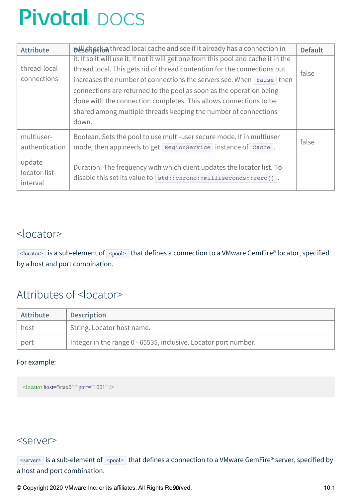| <b>Attribute</b> | Distribution thread local cache and see if it already has a connection in<br><b>Default</b> |       |  |  |
|------------------|---------------------------------------------------------------------------------------------|-------|--|--|
|                  | it. If so it will use it. If not it will get one from this pool and cache it in the         |       |  |  |
| thread-local-    | thread local. This gets rid of thread contention for the connections but                    | false |  |  |
| connections      | increases the number of connections the servers see. When false then                        |       |  |  |
|                  | connections are returned to the pool as soon as the operation being                         |       |  |  |
|                  | done with the connection completes. This allows connections to be                           |       |  |  |
|                  | shared among multiple threads keeping the number of connections                             |       |  |  |
|                  | down.                                                                                       |       |  |  |
| multiuser-       | Boolean. Sets the pool to use multi-user secure mode. If in multiuser                       |       |  |  |
| authentication   | mode, then app needs to get RegionService instance of Cache.                                | false |  |  |
| update-          |                                                                                             |       |  |  |
| locator-list-    | Duration. The frequency with which client updates the locator list. To                      |       |  |  |
| interval         | disable this set its value to std:: chrono:: milliseconds:: zero().                         |       |  |  |
|                  |                                                                                             |       |  |  |

### <span id="page-89-0"></span><locator>

 $\sim$ locator> is a sub-element of  $\sim$ pool> that defines a connection to a VMware GemFire® locator, specified by a host and port combination.

## Attributes of <locator>

| Attribute | <b>Description</b>                                              |
|-----------|-----------------------------------------------------------------|
| , host    | String. Locator host name.                                      |
| port      | Integer in the range 0 - 65535, inclusive. Locator port number. |

#### For example:

<span id="page-89-1"></span><locator host="stax01" port="1001" />

### <server>

 $\overline{\text{S}}$  is a sub-element of  $\overline{\text{S}}$  that defines a connection to a VMware GemFire® server, specified by a host and port combination.

© Copyright 2020 VMware Inc. or its affiliates. All Rights Re90rved. 10.1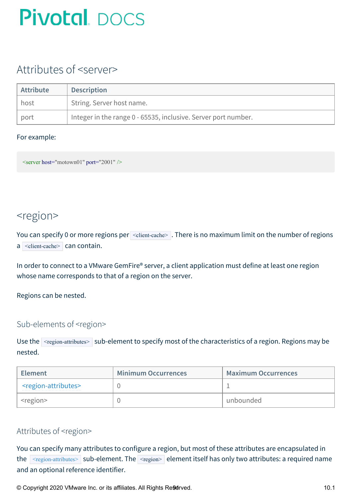## Attributes of <server>

| <b>Attribute</b> | <b>Description</b>                                             |
|------------------|----------------------------------------------------------------|
| host             | String. Server host name.                                      |
| port             | Integer in the range 0 - 65535, inclusive. Server port number. |

#### For example:

<span id="page-90-0"></span> $\leq$ server host="motown01" port="2001" />

### <region>

You can specify 0 or more regions per <dient-cache>. There is no maximum limit on the number of regions  $a$  <client-cache> can contain.

In order to connect to a VMware GemFire® server, a client application must define at least one region whose name corresponds to that of a region on the server.

Regions can be nested.

### Sub-elements of <region>

Use the  $\leq$   $\leq$   $\leq$   $\leq$   $\leq$   $\leq$   $\leq$   $\leq$   $\leq$   $\leq$   $\leq$   $\leq$   $\leq$   $\leq$   $\leq$   $\leq$   $\leq$   $\leq$   $\leq$   $\leq$   $\leq$   $\leq$   $\leq$   $\leq$   $\leq$   $\leq$   $\leq$   $\leq$   $\leq$   $\leq$   $\leq$   $\leq$   $\leq$   $\leq$   $\leq$   $\le$ nested.

| <b>Element</b>                          | <b>Minimum Occurrences</b> | <b>Maximum Occurrences</b> |  |
|-----------------------------------------|----------------------------|----------------------------|--|
| <region-attributes></region-attributes> |                            |                            |  |
| region>                                 |                            | unbounded                  |  |

### Attributes of <region>

You can specify many attributes to configure a region, but most of these attributes are encapsulated in the [<region-attributes>](#page-91-0) sub-element. The <region> element itself has only two attributes: a required name and an optional reference identifier.

© Copyright 2020 VMware Inc. or its affiliates. All Rights Re9drved.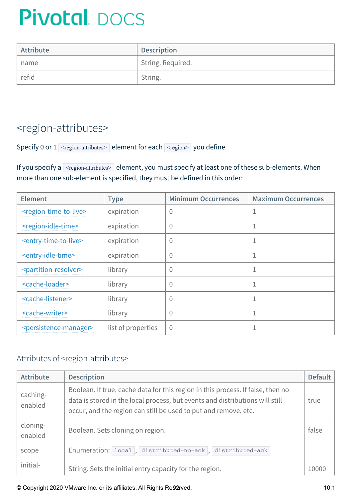| <b>Attribute</b> | <b>Description</b> |
|------------------|--------------------|
| name             | String. Required.  |
| refid            | ' String.          |

## <span id="page-91-0"></span><region-attributes>

Specify 0 or  $1$  <region-attributes> element for each  $\leq$   $\leq$   $\leq$  you define.

If you specify a  $\sqrt{\frac{2\pi}{n}}$  stement, you must specify at least one of these sub-elements. When more than one sub-element is specified, they must be defined in this order:

| <b>Element</b>                              | <b>Type</b>        | <b>Minimum Occurrences</b> | <b>Maximum Occurrences</b> |
|---------------------------------------------|--------------------|----------------------------|----------------------------|
| <region-time-to-live></region-time-to-live> | expiration         | 0                          |                            |
| <region-idle-time></region-idle-time>       | expiration         | $\overline{0}$             |                            |
| <entry-time-to-live></entry-time-to-live>   | expiration         | $\overline{0}$             |                            |
| <entry-idle-time></entry-idle-time>         | expiration         | $\overline{0}$             |                            |
| <partition-resolver></partition-resolver>   | library            | $\overline{0}$             |                            |
| <cache-loader></cache-loader>               | library            | 0                          |                            |
| <cache-listener></cache-listener>           | library            | $\overline{0}$             |                            |
| <cache-writer></cache-writer>               | library            | $\overline{0}$             |                            |
| <persistence-manager></persistence-manager> | list of properties | $\overline{0}$             |                            |

### Attributes of <region-attributes>

| <b>Attribute</b>    | <b>Description</b>                                                                                                                                                                                                                 | <b>Default</b> |
|---------------------|------------------------------------------------------------------------------------------------------------------------------------------------------------------------------------------------------------------------------------|----------------|
| caching-<br>enabled | Boolean. If true, cache data for this region in this process. If false, then no<br>data is stored in the local process, but events and distributions will still<br>occur, and the region can still be used to put and remove, etc. | true           |
| cloning-<br>enabled | Boolean. Sets cloning on region.                                                                                                                                                                                                   | false          |
| scope               | Enumeration: local, distributed-no-ack, distributed-ack                                                                                                                                                                            |                |
| initial-            | String. Sets the initial entry capacity for the region.                                                                                                                                                                            | 10000          |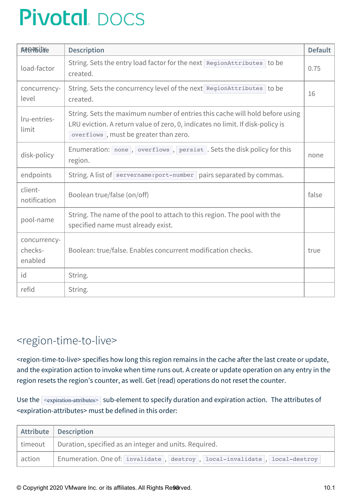| <b>ACEPTBUYE</b>                   | <b>Description</b>                                                                                                                                                                                      | <b>Default</b> |
|------------------------------------|---------------------------------------------------------------------------------------------------------------------------------------------------------------------------------------------------------|----------------|
| load-factor                        | String. Sets the entry load factor for the next RegionAttributes to be<br>created.                                                                                                                      |                |
| concurrency-<br>level              | String. Sets the concurrency level of the next RegionAttributes to be<br>created.                                                                                                                       | 16             |
| Iru-entries-<br>limit              | String. Sets the maximum number of entries this cache will hold before using<br>LRU eviction. A return value of zero, 0, indicates no limit. If disk-policy is<br>overflows, must be greater than zero. |                |
| disk-policy                        | Enumeration: none, overflows, persist. Sets the disk policy for this<br>region.                                                                                                                         | none           |
| endpoints                          | String. A list of servername: port-number pairs separated by commas.                                                                                                                                    |                |
| client-<br>notification            | Boolean true/false (on/off)                                                                                                                                                                             | false          |
| pool-name                          | String. The name of the pool to attach to this region. The pool with the<br>specified name must already exist.                                                                                          |                |
| concurrency-<br>checks-<br>enabled | Boolean: true/false. Enables concurrent modification checks.                                                                                                                                            | true           |
| id                                 | String.                                                                                                                                                                                                 |                |
| refid                              | String.                                                                                                                                                                                                 |                |

## <span id="page-92-0"></span><region-time-to-live>

<region-time-to-live> specifies how long this region remains in the cache after the last create or update, and the expiration action to invoke when time runs out. A create or update operation on any entry in the region resets the region's counter, as well. Get (read) operations do not reset the counter.

Use the <expiration-attributes> sub-element to specify duration and expiration action. The attributes of <expiration-attributes> must be defined in this order:

|        | Attribute   Description                                                                              |
|--------|------------------------------------------------------------------------------------------------------|
|        | $\vert$ timeout $\vert$ Duration, specified as an integer and units. Required.                       |
| action | Enumeration. One of: invalidate $\vert$ , destroy $\vert$ , local-invalidate $\vert$ , local-destroy |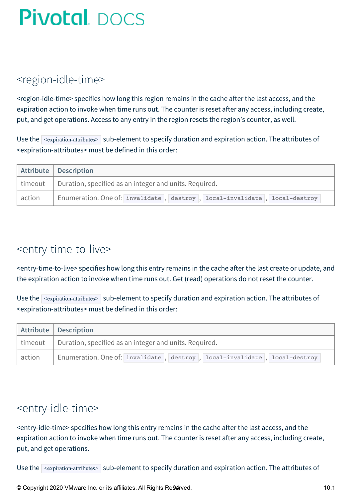## <span id="page-93-0"></span><region-idle-time>

<region-idle-time> specifies how long this region remains in the cache after the last access, and the expiration action to invoke when time runs out. The counter is reset after any access, including create, put, and get operations. Access to any entry in the region resets the region's counter, as well.

Use the  $\leq$   $\leq$   $\leq$   $\leq$   $\leq$   $\leq$   $\leq$   $\leq$   $\leq$   $\leq$   $\leq$   $\leq$   $\leq$   $\leq$   $\leq$   $\leq$   $\leq$   $\leq$   $\leq$   $\leq$   $\leq$   $\leq$   $\leq$   $\leq$   $\leq$   $\leq$   $\leq$   $\leq$   $\leq$   $\leq$   $\leq$   $\leq$   $\leq$   $\leq$   $\leq$   $\le$ <expiration-attributes> must be defined in this order:

|        | Attribute   Description                                                        |
|--------|--------------------------------------------------------------------------------|
|        | $\vert$ timeout $\vert$ Duration, specified as an integer and units. Required. |
| action | Enumeration. One of: invalidate, destroy, local-invalidate, local-destroy      |

## <span id="page-93-1"></span><entry-time-to-live>

<entry-time-to-live> specifies how long this entry remains in the cache after the last create or update, and the expiration action to invoke when time runs out. Get (read) operations do not reset the counter.

Use the  $\leq$   $\leq$   $\leq$   $\leq$   $\leq$   $\leq$   $\leq$   $\leq$   $\leq$   $\leq$   $\leq$   $\leq$   $\leq$   $\leq$   $\leq$   $\leq$   $\leq$   $\leq$   $\leq$   $\leq$   $\leq$   $\leq$   $\leq$   $\leq$   $\leq$   $\leq$   $\leq$   $\leq$   $\leq$   $\leq$   $\leq$   $\leq$   $\leq$   $\leq$   $\leq$   $\le$ <expiration-attributes> must be defined in this order:

|        | Attribute   Description                                                        |
|--------|--------------------------------------------------------------------------------|
|        | $\vert$ timeout $\vert$ Duration, specified as an integer and units. Required. |
| action | Enumeration. One of: invalidate, destroy, local-invalidate, local-destroy      |

## <span id="page-93-2"></span><entry-idle-time>

<entry-idle-time> specifies how long this entry remains in the cache after the last access, and the expiration action to invoke when time runs out. The counter is reset after any access, including create, put, and get operations.

Use the  $\vert$  <expiration-attributes>  $\vert$  sub-element to specify duration and expiration action. The attributes of

© Copyright 2020 VMware Inc. or its affiliates. All Rights Reserved.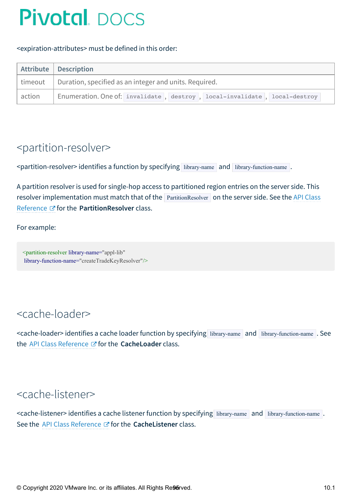#### <expiration-attributes> must be defined in this order:

|        | Attribute   Description                                                        |
|--------|--------------------------------------------------------------------------------|
|        | $\vert$ timeout $\vert$ Duration, specified as an integer and units. Required. |
| action | Enumeration. One of: invalidate, destroy, local-invalidate, local-destroy      |

### <span id="page-94-0"></span><partition-resolver>

| $\leq$ partition-resolver> identifies a function by specifying library-name and library-function-name. |  |  |  |  |  |  |  |
|--------------------------------------------------------------------------------------------------------|--|--|--|--|--|--|--|
|--------------------------------------------------------------------------------------------------------|--|--|--|--|--|--|--|

A partition resolver is used for single-hop access to partitioned region entries on the server side. This resolver implementation must match that of the **PartitionResolver** on the server side. See the API Class Reference for the **[PartitionResolver](http://docs-gemfire-native-dotnet-staging.cfapps.io/cppdocs/hierarchy.html)** class.

For example:

<span id="page-94-1"></span><partition-resolver library-name="appl-lib" library-function-name="createTradeKeyResolver"/>

## <cache-loader>

<span id="page-94-2"></span><cache-loader> identifies a cache loader function by specifying library-name and library-function-name . See the API Class [Reference](http://docs-gemfire-native-dotnet-staging.cfapps.io/cppdocs/hierarchy.html) & for the **CacheLoader** class.

## <cache-listener>

<span id="page-94-3"></span><cache-listener> identifies a cache listener function by specifying library-name and library-function-name. See the API Class [Reference](http://docs-gemfire-native-dotnet-staging.cfapps.io/cppdocs/hierarchy.html)  $\mathbb Z$  for the **CacheListener** class.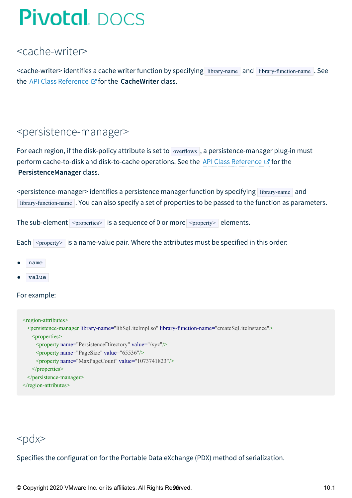## <cache-writer>

<span id="page-95-0"></span><cache-writer> identifies a cache writer function by specifying library-name and library-function-name . See the API Class [Reference](http://docs-gemfire-native-dotnet-staging.cfapps.io/cppdocs/hierarchy.html) *F* for the **CacheWriter** class.

### <persistence-manager>

For each region, if the disk-policy attribute is set to overflows , a persistence-manager plug-in must perform cache-to-disk and disk-to-cache operations. See the API Class [Reference](http://docs-gemfire-native-dotnet-staging.cfapps.io/cppdocs/hierarchy.html)  $\mathbb{Z}^r$  for the **PersistenceManager** class.

<persistence-manager> identifies a persistence manager function by specifying library-name and library-function-name . You can also specify a set of properties to be passed to the function as parameters.

The sub-element  $\langle$   $\gamma$   $\rangle$   $\langle$   $\rangle$  is a sequence of 0 or more  $\langle$   $\gamma$   $\rangle$   $\gamma$   $\gamma$  elements.

Each  $\langle$   $\rangle$   $\rangle$  is a name-value pair. Where the attributes must be specified in this order:

- name
- value

For example:

```
<region-attributes>
 <persistence-manager library-name="libSqLiteImpl.so" library-function-name="createSqLiteInstance">
   <properties>
     <property name="PersistenceDirectory" value="/xyz"/>
     <property name="PageSize" value="65536"/>
     <property name="MaxPageCount" value="1073741823"/>
   </properties>
 </persistence-manager>
</region-attributes>
```
## <span id="page-95-1"></span> $<$ pdx $>$

Specifies the configuration for the Portable Data eXchange (PDX) method of serialization.

© Copyright 2020 VMware Inc. or its affiliates. All Rights Re96rved. 10.1